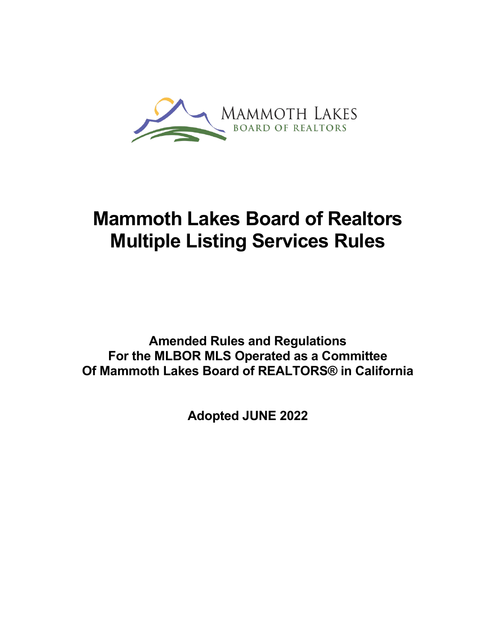

# **Mammoth Lakes Board of Realtors Multiple Listing Services Rules**

**Amended Rules and Regulations For the MLBOR MLS Operated as a Committee Of Mammoth Lakes Board of REALTORS® in California**

**Adopted JUNE 2022**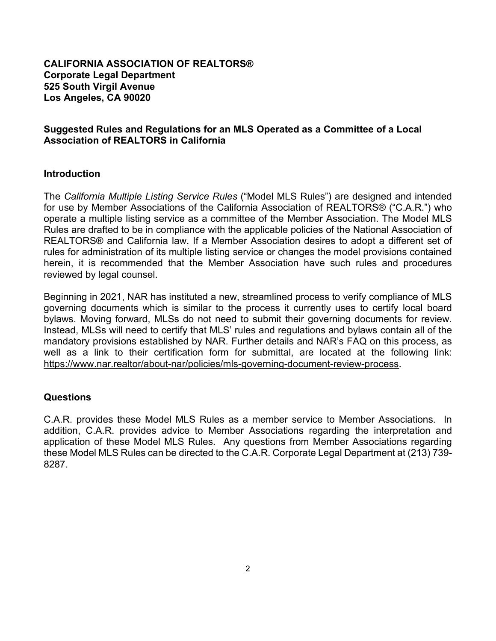#### **CALIFORNIA ASSOCIATION OF REALTORS® Corporate Legal Department 525 South Virgil Avenue Los Angeles, CA 90020**

#### **Suggested Rules and Regulations for an MLS Operated as a Committee of a Local Association of REALTORS in California**

#### **Introduction**

The *California Multiple Listing Service Rules* ("Model MLS Rules") are designed and intended for use by Member Associations of the California Association of REALTORS® ("C.A.R.") who operate a multiple listing service as a committee of the Member Association. The Model MLS Rules are drafted to be in compliance with the applicable policies of the National Association of REALTORS® and California law. If a Member Association desires to adopt a different set of rules for administration of its multiple listing service or changes the model provisions contained herein, it is recommended that the Member Association have such rules and procedures reviewed by legal counsel.

Beginning in 2021, NAR has instituted a new, streamlined process to verify compliance of MLS governing documents which is similar to the process it currently uses to certify local board bylaws. Moving forward, MLSs do not need to submit their governing documents for review. Instead, MLSs will need to certify that MLS' rules and regulations and bylaws contain all of the mandatory provisions established by NAR. Further details and NAR's FAQ on this process, as well as a link to their certification form for submittal, are located at the following link: [https://www.nar.realtor/about-nar/policies/mls-governing-document-review-process.](https://www.nar.realtor/about-nar/policies/mls-governing-document-review-process)

#### **Questions**

C.A.R. provides these Model MLS Rules as a member service to Member Associations. In addition, C.A.R. provides advice to Member Associations regarding the interpretation and application of these Model MLS Rules. Any questions from Member Associations regarding these Model MLS Rules can be directed to the C.A.R. Corporate Legal Department at (213) 739- 8287.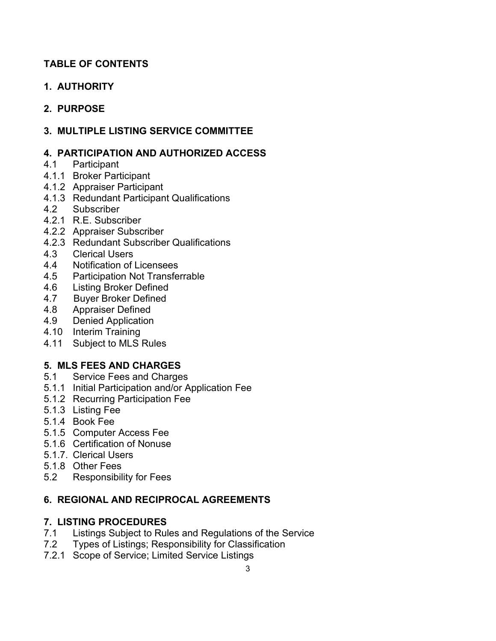# **TABLE OF CONTENTS**

**1. AUTHORITY** 

# **2. PURPOSE**

**3. MULTIPLE LISTING SERVICE COMMITTEE** 

## **4. PARTICIPATION AND AUTHORIZED ACCESS**

- 4.1 Participant
- 4.1.1 Broker Participant
- 4.1.2 Appraiser Participant
- 4.1.3 Redundant Participant Qualifications
- 4.2 Subscriber
- 4.2.1 R.E. Subscriber
- 4.2.2 Appraiser Subscriber
- 4.2.3 Redundant Subscriber Qualifications
- 4.3 Clerical Users
- 4.4 Notification of Licensees<br>4.5 Participation Not Transfe
- 4.5 Participation Not Transferrable<br>4.6 Listing Broker Defined
- **Listing Broker Defined**
- 4.7 Buyer Broker Defined
- 4.8 Appraiser Defined
- 4.9 Denied Application
- 4.10 Interim Training
- 4.11 Subject to MLS Rules

# **5. MLS FEES AND CHARGES**

- 5.1 Service Fees and Charges
- 5.1.1 Initial Participation and/or Application Fee
- 5.1.2 Recurring Participation Fee
- 5.1.3 Listing Fee
- 5.1.4 Book Fee
- 5.1.5 Computer Access Fee
- 5.1.6 Certification of Nonuse
- 5.1.7. Clerical Users
- 5.1.8 Other Fees
- 5.2 Responsibility for Fees

## **6. REGIONAL AND RECIPROCAL AGREEMENTS**

## **7. LISTING PROCEDURES**

- 7.1 Listings Subject to Rules and Regulations of the Service
- 7.2 Types of Listings; Responsibility for Classification
- 7.2.1 Scope of Service; Limited Service Listings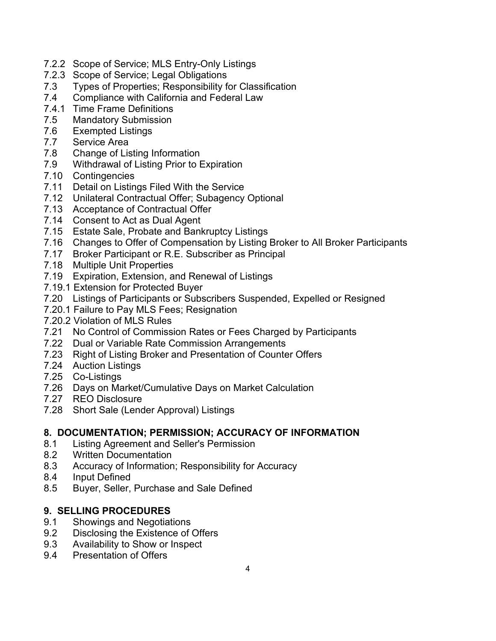- 7.2.2 Scope of Service; MLS Entry-Only Listings
- 7.2.3 Scope of Service; Legal Obligations
- 7.3 Types of Properties; Responsibility for Classification
- 7.4 Compliance with California and Federal Law
- 7.4.1 Time Frame Definitions
- 7.5 Mandatory Submission
- 7.6 Exempted Listings
- 7.7 Service Area
- 7.8 Change of Listing Information
- 7.9 Withdrawal of Listing Prior to Expiration
- 7.10 Contingencies
- 7.11 Detail on Listings Filed With the Service
- 7.12 Unilateral Contractual Offer; Subagency Optional
- 7.13 Acceptance of Contractual Offer
- 7.14 Consent to Act as Dual Agent
- 7.15 Estate Sale, Probate and Bankruptcy Listings
- 7.16 Changes to Offer of Compensation by Listing Broker to All Broker Participants
- 7.17 Broker Participant or R.E. Subscriber as Principal
- 7.18 Multiple Unit Properties
- 7.19 Expiration, Extension, and Renewal of Listings
- 7.19.1 Extension for Protected Buyer
- 7.20 Listings of Participants or Subscribers Suspended, Expelled or Resigned
- 7.20.1 Failure to Pay MLS Fees; Resignation
- 7.20.2 Violation of MLS Rules
- 7.21 No Control of Commission Rates or Fees Charged by Participants
- 7.22 Dual or Variable Rate Commission Arrangements
- 7.23 Right of Listing Broker and Presentation of Counter Offers
- 7.24 Auction Listings
- 7.25 Co-Listings
- 7.26 Days on Market/Cumulative Days on Market Calculation
- 7.27 REO Disclosure
- 7.28 Short Sale (Lender Approval) Listings

## **8. DOCUMENTATION; PERMISSION; ACCURACY OF INFORMATION**

- 8.1 Listing Agreement and Seller's Permission
- 8.2 Written Documentation
- 8.3 Accuracy of Information; Responsibility for Accuracy
- 8.4 Input Defined
- 8.5 Buyer, Seller, Purchase and Sale Defined

## **9. SELLING PROCEDURES**

- 9.1 Showings and Negotiations
- 9.2 Disclosing the Existence of Offers
- 9.3 Availability to Show or Inspect
- 9.4 Presentation of Offers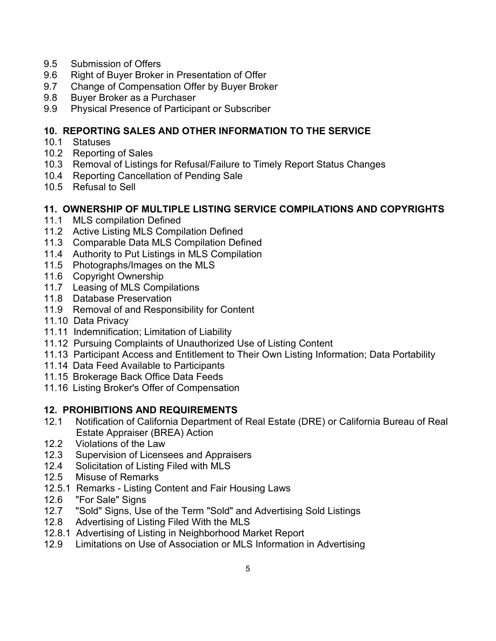- 9.5 Submission of Offers
- 9.6Right of Buyer Broker in Presentation of Offer
- 9.7 Change of Compensation Offer by Buyer Broker
- 9.8 Buyer Broker as a Purchaser
- 9.9 Physical Presence of Participant or Subscriber

#### **10. REPORTING SALES AND OTHER INFORMATION TO THE SERVICE**

- 10.1 Statuses
- 10.2 Reporting of Sales
- 10.3 Removal of Listings for Refusal/Failure to Timely Report Status Changes
- 10.4 Reporting Cancellation of Pending Sale
- 10.5 Refusal to Sell

#### **11. OWNERSHIP OF MULTIPLE LISTING SERVICE COMPILATIONS AND COPYRIGHTS**

- 11.1 MLS compilation Defined
- 11.2 Active Listing MLS Compilation Defined
- 11.3 Comparable Data MLS Compilation Defined
- 11.4 Authority to Put Listings in MLS Compilation
- 11.5 Photographs/Images on the MLS
- 11.6 Copyright Ownership
- 11.7 Leasing of MLS Compilations
- 11.8 Database Preservation
- 11.9 Removal of and Responsibility for Content
- 11.10 Data Privacy
- 11.11 Indemnification; Limitation of Liability
- 11.12 Pursuing Complaints of Unauthorized Use of Listing Content
- 11.13 Participant Access and Entitlement to Their Own Listing Information; Data Portability
- 11.14 Data Feed Available to Participants
- 11.15 Brokerage Back Office Data Feeds
- 11.16 Listing Broker's Offer of Compensation

## **12. PROHIBITIONS AND REQUIREMENTS**

- 12.1 Notification of California Department of Real Estate (DRE) or California Bureau of Real Estate Appraiser (BREA) Action
- 12.2 Violations of the Law
- 12.3 Supervision of Licensees and Appraisers
- 12.4 Solicitation of Listing Filed with MLS
- 12.5 Misuse of Remarks
- 12.5.1 Remarks Listing Content and Fair Housing Laws<br>12.6 PFor Sale" Signs
- "For Sale" Signs
- 12.7 "Sold" Signs, Use of the Term "Sold" and Advertising Sold Listings
- 12.8 Advertising of Listing Filed With the MLS
- 12.8.1 Advertising of Listing in Neighborhood Market Report
- 12.9 Limitations on Use of Association or MLS Information in Advertising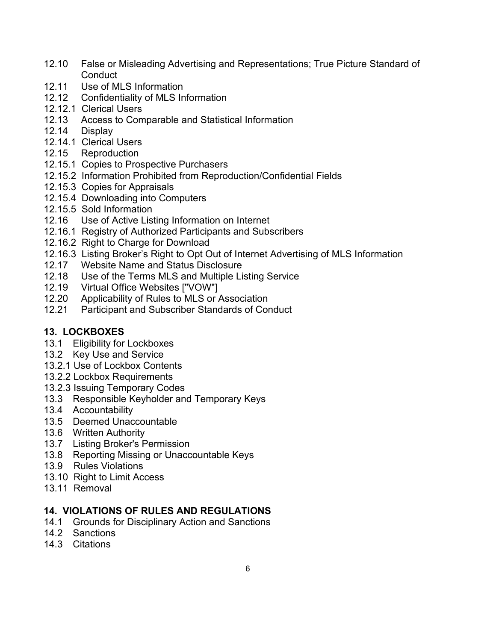- 12.10 False or Misleading Advertising and Representations; True Picture Standard of **Conduct**
- 12.11 Use of MLS Information
- 12.12 Confidentiality of MLS Information
- 12.12.1 Clerical Users
- 12.13 Access to Comparable and Statistical Information
- 12.14 Display
- 12.14.1 Clerical Users
- 12.15 Reproduction
- 12.15.1 Copies to Prospective Purchasers
- 12.15.2 Information Prohibited from Reproduction/Confidential Fields
- 12.15.3 Copies for Appraisals
- 12.15.4 Downloading into Computers
- 12.15.5 Sold Information
- 12.16 Use of Active Listing Information on Internet
- 12.16.1 Registry of Authorized Participants and Subscribers
- 12.16.2 Right to Charge for Download
- 12.16.3 Listing Broker's Right to Opt Out of Internet Advertising of MLS Information
- 12.17 Website Name and Status Disclosure
- 12.18 Use of the Terms MLS and Multiple Listing Service
- 12.19 Virtual Office Websites ["VOW"]
- 12.20 Applicability of Rules to MLS or Association
- 12.21 Participant and Subscriber Standards of Conduct

## **13. LOCKBOXES**

- 13.1 Eligibility for Lockboxes
- 13.2 Key Use and Service
- 13.2.1 Use of Lockbox Contents
- 13.2.2 Lockbox Requirements
- 13.2.3 Issuing Temporary Codes
- 13.3 Responsible Keyholder and Temporary Keys
- 13.4 Accountability
- 13.5 Deemed Unaccountable
- 13.6 Written Authority
- 13.7 Listing Broker's Permission
- 13.8 Reporting Missing or Unaccountable Keys
- 13.9 Rules Violations
- 13.10 Right to Limit Access
- 13.11 Removal

## **14. VIOLATIONS OF RULES AND REGULATIONS**

- 14.1 Grounds for Disciplinary Action and Sanctions
- 14.2 Sanctions
- 14.3 Citations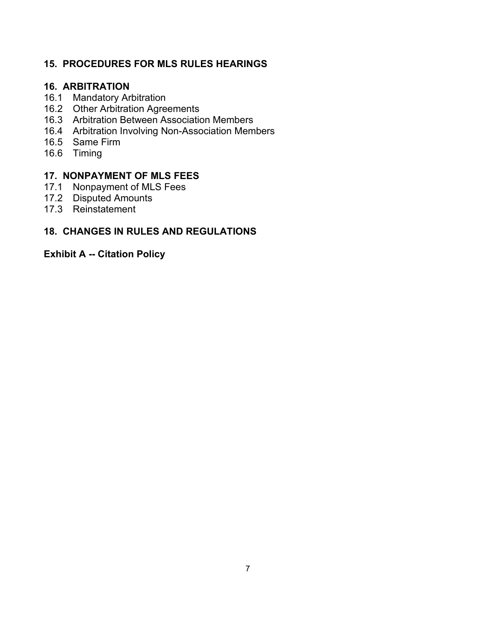## **15. PROCEDURES FOR MLS RULES HEARINGS**

#### **16. ARBITRATION**

- 16.1 Mandatory Arbitration
- 16.2 Other Arbitration Agreements
- 16.3 Arbitration Between Association Members
- 16.4 Arbitration Involving Non-Association Members
- 16.5 Same Firm
- 16.6 Timing

## **17. NONPAYMENT OF MLS FEES**

- 17.1 Nonpayment of MLS Fees
- 17.2 Disputed Amounts
- 17.3 Reinstatement

### **18. CHANGES IN RULES AND REGULATIONS**

#### **Exhibit A -- Citation Policy**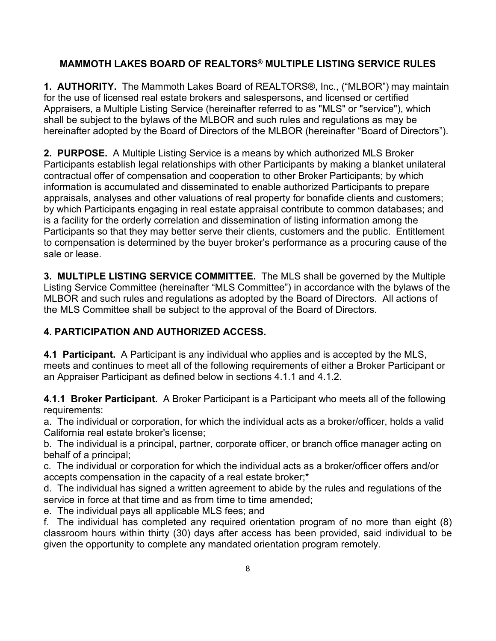## **MAMMOTH LAKES BOARD OF REALTORS® MULTIPLE LISTING SERVICE RULES**

**1. AUTHORITY.** The Mammoth Lakes Board of REALTORS®, Inc., ("MLBOR") may maintain for the use of licensed real estate brokers and salespersons, and licensed or certified Appraisers, a Multiple Listing Service (hereinafter referred to as "MLS" or "service"), which shall be subject to the bylaws of the MLBOR and such rules and regulations as may be hereinafter adopted by the Board of Directors of the MLBOR (hereinafter "Board of Directors").

**2. PURPOSE.** A Multiple Listing Service is a means by which authorized MLS Broker Participants establish legal relationships with other Participants by making a blanket unilateral contractual offer of compensation and cooperation to other Broker Participants; by which information is accumulated and disseminated to enable authorized Participants to prepare appraisals, analyses and other valuations of real property for bonafide clients and customers; by which Participants engaging in real estate appraisal contribute to common databases; and is a facility for the orderly correlation and dissemination of listing information among the Participants so that they may better serve their clients, customers and the public. Entitlement to compensation is determined by the buyer broker's performance as a procuring cause of the sale or lease.

**3. MULTIPLE LISTING SERVICE COMMITTEE.** The MLS shall be governed by the Multiple Listing Service Committee (hereinafter "MLS Committee") in accordance with the bylaws of the MLBOR and such rules and regulations as adopted by the Board of Directors. All actions of the MLS Committee shall be subject to the approval of the Board of Directors.

## **4. PARTICIPATION AND AUTHORIZED ACCESS.**

**4.1 Participant.** A Participant is any individual who applies and is accepted by the MLS, meets and continues to meet all of the following requirements of either a Broker Participant or an Appraiser Participant as defined below in sections 4.1.1 and 4.1.2.

**4.1.1 Broker Participant.** A Broker Participant is a Participant who meets all of the following requirements:

a. The individual or corporation, for which the individual acts as a broker/officer, holds a valid California real estate broker's license;

b. The individual is a principal, partner, corporate officer, or branch office manager acting on behalf of a principal;

c. The individual or corporation for which the individual acts as a broker/officer offers and/or accepts compensation in the capacity of a real estate broker;\*

d. The individual has signed a written agreement to abide by the rules and regulations of the service in force at that time and as from time to time amended;

e. The individual pays all applicable MLS fees; and

f. The individual has completed any required orientation program of no more than eight (8) classroom hours within thirty (30) days after access has been provided, said individual to be given the opportunity to complete any mandated orientation program remotely.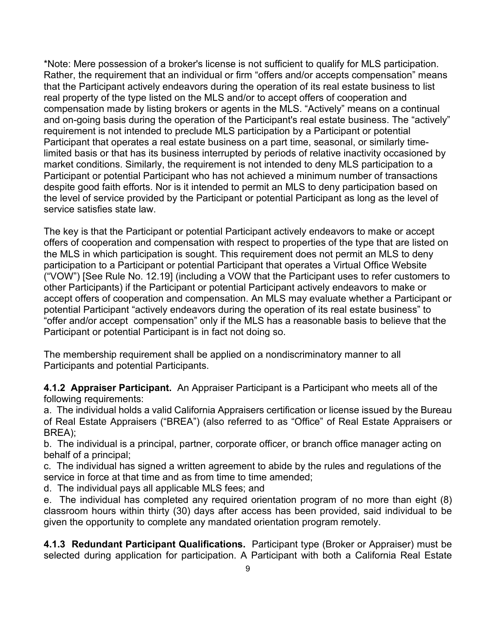\*Note: Mere possession of a broker's license is not sufficient to qualify for MLS participation. Rather, the requirement that an individual or firm "offers and/or accepts compensation" means that the Participant actively endeavors during the operation of its real estate business to list real property of the type listed on the MLS and/or to accept offers of cooperation and compensation made by listing brokers or agents in the MLS. "Actively" means on a continual and on-going basis during the operation of the Participant's real estate business. The "actively" requirement is not intended to preclude MLS participation by a Participant or potential Participant that operates a real estate business on a part time, seasonal, or similarly timelimited basis or that has its business interrupted by periods of relative inactivity occasioned by market conditions. Similarly, the requirement is not intended to deny MLS participation to a Participant or potential Participant who has not achieved a minimum number of transactions despite good faith efforts. Nor is it intended to permit an MLS to deny participation based on the level of service provided by the Participant or potential Participant as long as the level of service satisfies state law.

The key is that the Participant or potential Participant actively endeavors to make or accept offers of cooperation and compensation with respect to properties of the type that are listed on the MLS in which participation is sought. This requirement does not permit an MLS to deny participation to a Participant or potential Participant that operates a Virtual Office Website ("VOW") [See Rule No. 12.19] (including a VOW that the Participant uses to refer customers to other Participants) if the Participant or potential Participant actively endeavors to make or accept offers of cooperation and compensation. An MLS may evaluate whether a Participant or potential Participant "actively endeavors during the operation of its real estate business" to "offer and/or accept compensation" only if the MLS has a reasonable basis to believe that the Participant or potential Participant is in fact not doing so.

The membership requirement shall be applied on a nondiscriminatory manner to all Participants and potential Participants.

**4.1.2 Appraiser Participant.** An Appraiser Participant is a Participant who meets all of the following requirements:

a. The individual holds a valid California Appraisers certification or license issued by the Bureau of Real Estate Appraisers ("BREA") (also referred to as "Office" of Real Estate Appraisers or BREA);

b. The individual is a principal, partner, corporate officer, or branch office manager acting on behalf of a principal;

c. The individual has signed a written agreement to abide by the rules and regulations of the service in force at that time and as from time to time amended:

d. The individual pays all applicable MLS fees; and

e. The individual has completed any required orientation program of no more than eight (8) classroom hours within thirty (30) days after access has been provided, said individual to be given the opportunity to complete any mandated orientation program remotely.

**4.1.3 Redundant Participant Qualifications.** Participant type (Broker or Appraiser) must be selected during application for participation. A Participant with both a California Real Estate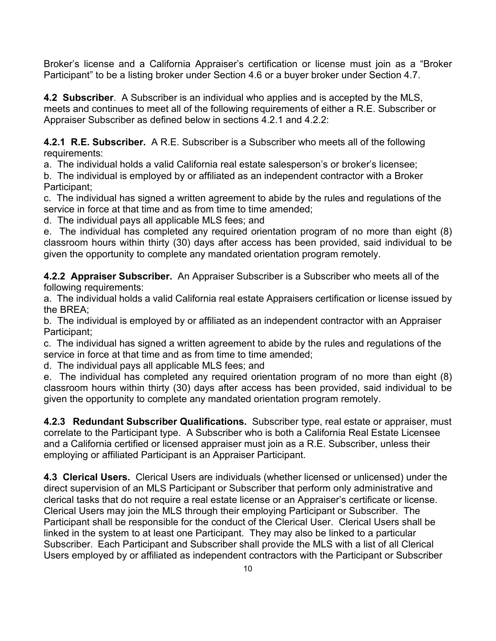Broker's license and a California Appraiser's certification or license must join as a "Broker Participant" to be a listing broker under Section 4.6 or a buyer broker under Section 4.7.

**4.2 Subscriber**. A Subscriber is an individual who applies and is accepted by the MLS, meets and continues to meet all of the following requirements of either a R.E. Subscriber or Appraiser Subscriber as defined below in sections 4.2.1 and 4.2.2:

**4.2.1 R.E. Subscriber.** A R.E. Subscriber is a Subscriber who meets all of the following requirements:

a. The individual holds a valid California real estate salesperson's or broker's licensee;

b. The individual is employed by or affiliated as an independent contractor with a Broker Participant;

c. The individual has signed a written agreement to abide by the rules and regulations of the service in force at that time and as from time to time amended;

d. The individual pays all applicable MLS fees; and

e. The individual has completed any required orientation program of no more than eight (8) classroom hours within thirty (30) days after access has been provided, said individual to be given the opportunity to complete any mandated orientation program remotely.

**4.2.2 Appraiser Subscriber.** An Appraiser Subscriber is a Subscriber who meets all of the following requirements:

a. The individual holds a valid California real estate Appraisers certification or license issued by the BREA;

b. The individual is employed by or affiliated as an independent contractor with an Appraiser Participant;

c. The individual has signed a written agreement to abide by the rules and regulations of the service in force at that time and as from time to time amended:

d. The individual pays all applicable MLS fees; and

e. The individual has completed any required orientation program of no more than eight (8) classroom hours within thirty (30) days after access has been provided, said individual to be given the opportunity to complete any mandated orientation program remotely.

**4.2.3 Redundant Subscriber Qualifications.** Subscriber type, real estate or appraiser, must correlate to the Participant type. A Subscriber who is both a California Real Estate Licensee and a California certified or licensed appraiser must join as a R.E. Subscriber, unless their employing or affiliated Participant is an Appraiser Participant.

**4.3 Clerical Users.** Clerical Users are individuals (whether licensed or unlicensed) under the direct supervision of an MLS Participant or Subscriber that perform only administrative and clerical tasks that do not require a real estate license or an Appraiser's certificate or license. Clerical Users may join the MLS through their employing Participant or Subscriber. The Participant shall be responsible for the conduct of the Clerical User. Clerical Users shall be linked in the system to at least one Participant. They may also be linked to a particular Subscriber. Each Participant and Subscriber shall provide the MLS with a list of all Clerical Users employed by or affiliated as independent contractors with the Participant or Subscriber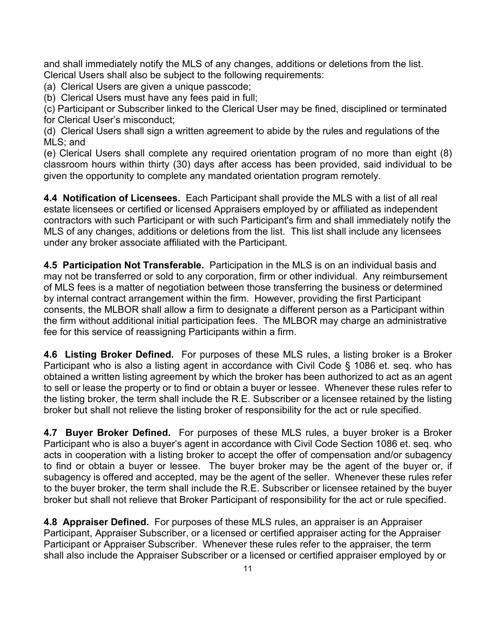and shall immediately notify the MLS of any changes, additions or deletions from the list. Clerical Users shall also be subject to the following requirements:

(a) Clerical Users are given a unique passcode;

(b) Clerical Users must have any fees paid in full;

(c) Participant or Subscriber linked to the Clerical User may be fined, disciplined or terminated for Clerical User's misconduct;

(d) Clerical Users shall sign a written agreement to abide by the rules and regulations of the MLS; and

(e) Clerical Users shall complete any required orientation program of no more than eight (8) classroom hours within thirty (30) days after access has been provided, said individual to be given the opportunity to complete any mandated orientation program remotely.

**4.4 Notification of Licensees.** Each Participant shall provide the MLS with a list of all real estate licensees or certified or licensed Appraisers employed by or affiliated as independent contractors with such Participant or with such Participant's firm and shall immediately notify the MLS of any changes, additions or deletions from the list. This list shall include any licensees under any broker associate affiliated with the Participant.

**4.5 Participation Not Transferable.** Participation in the MLS is on an individual basis and may not be transferred or sold to any corporation, firm or other individual. Any reimbursement of MLS fees is a matter of negotiation between those transferring the business or determined by internal contract arrangement within the firm. However, providing the first Participant consents, the MLBOR shall allow a firm to designate a different person as a Participant within the firm without additional initial participation fees. The MLBOR may charge an administrative fee for this service of reassigning Participants within a firm.

**4.6 Listing Broker Defined.** For purposes of these MLS rules, a listing broker is a Broker Participant who is also a listing agent in accordance with Civil Code § 1086 et. seq. who has obtained a written listing agreement by which the broker has been authorized to act as an agent to sell or lease the property or to find or obtain a buyer or lessee. Whenever these rules refer to the listing broker, the term shall include the R.E. Subscriber or a licensee retained by the listing broker but shall not relieve the listing broker of responsibility for the act or rule specified.

**4.7 Buyer Broker Defined.** For purposes of these MLS rules, a buyer broker is a Broker Participant who is also a buyer's agent in accordance with Civil Code Section 1086 et. seq. who acts in cooperation with a listing broker to accept the offer of compensation and/or subagency to find or obtain a buyer or lessee. The buyer broker may be the agent of the buyer or, if subagency is offered and accepted, may be the agent of the seller. Whenever these rules refer to the buyer broker, the term shall include the R.E. Subscriber or licensee retained by the buyer broker but shall not relieve that Broker Participant of responsibility for the act or rule specified.

**4.8 Appraiser Defined.** For purposes of these MLS rules, an appraiser is an Appraiser Participant, Appraiser Subscriber, or a licensed or certified appraiser acting for the Appraiser Participant or Appraiser Subscriber. Whenever these rules refer to the appraiser, the term shall also include the Appraiser Subscriber or a licensed or certified appraiser employed by or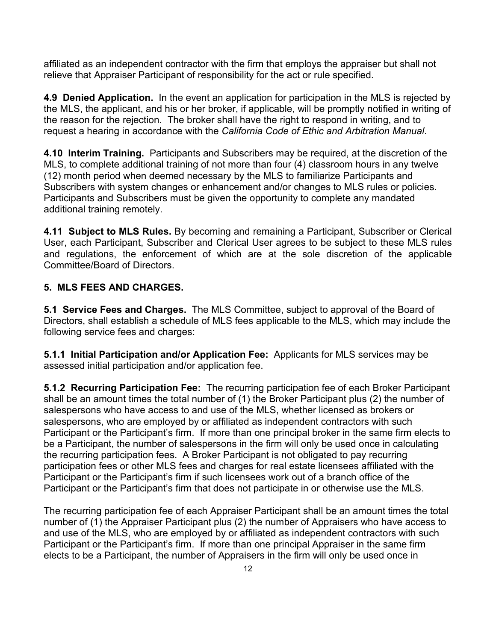affiliated as an independent contractor with the firm that employs the appraiser but shall not relieve that Appraiser Participant of responsibility for the act or rule specified.

**4.9 Denied Application.** In the event an application for participation in the MLS is rejected by the MLS, the applicant, and his or her broker, if applicable, will be promptly notified in writing of the reason for the rejection. The broker shall have the right to respond in writing, and to request a hearing in accordance with the *California Code of Ethic and Arbitration Manual*.

**4.10 Interim Training.** Participants and Subscribers may be required, at the discretion of the MLS, to complete additional training of not more than four (4) classroom hours in any twelve (12) month period when deemed necessary by the MLS to familiarize Participants and Subscribers with system changes or enhancement and/or changes to MLS rules or policies. Participants and Subscribers must be given the opportunity to complete any mandated additional training remotely.

**4.11 Subject to MLS Rules.** By becoming and remaining a Participant, Subscriber or Clerical User, each Participant, Subscriber and Clerical User agrees to be subject to these MLS rules and regulations, the enforcement of which are at the sole discretion of the applicable Committee/Board of Directors.

## **5. MLS FEES AND CHARGES.**

**5.1 Service Fees and Charges.** The MLS Committee, subject to approval of the Board of Directors, shall establish a schedule of MLS fees applicable to the MLS, which may include the following service fees and charges:

**5.1.1 Initial Participation and/or Application Fee:** Applicants for MLS services may be assessed initial participation and/or application fee.

**5.1.2 Recurring Participation Fee:** The recurring participation fee of each Broker Participant shall be an amount times the total number of (1) the Broker Participant plus (2) the number of salespersons who have access to and use of the MLS, whether licensed as brokers or salespersons, who are employed by or affiliated as independent contractors with such Participant or the Participant's firm. If more than one principal broker in the same firm elects to be a Participant, the number of salespersons in the firm will only be used once in calculating the recurring participation fees. A Broker Participant is not obligated to pay recurring participation fees or other MLS fees and charges for real estate licensees affiliated with the Participant or the Participant's firm if such licensees work out of a branch office of the Participant or the Participant's firm that does not participate in or otherwise use the MLS.

The recurring participation fee of each Appraiser Participant shall be an amount times the total number of (1) the Appraiser Participant plus (2) the number of Appraisers who have access to and use of the MLS, who are employed by or affiliated as independent contractors with such Participant or the Participant's firm. If more than one principal Appraiser in the same firm elects to be a Participant, the number of Appraisers in the firm will only be used once in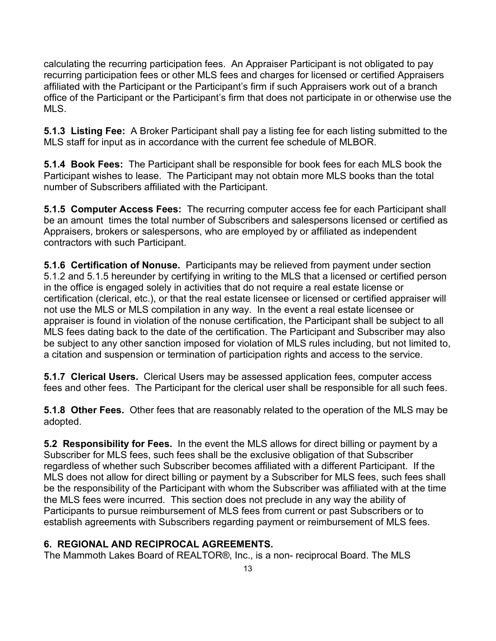calculating the recurring participation fees. An Appraiser Participant is not obligated to pay recurring participation fees or other MLS fees and charges for licensed or certified Appraisers affiliated with the Participant or the Participant's firm if such Appraisers work out of a branch office of the Participant or the Participant's firm that does not participate in or otherwise use the MLS.

**5.1.3 Listing Fee:** A Broker Participant shall pay a listing fee for each listing submitted to the MLS staff for input as in accordance with the current fee schedule of MLBOR.

**5.1.4 Book Fees:** The Participant shall be responsible for book fees for each MLS book the Participant wishes to lease. The Participant may not obtain more MLS books than the total number of Subscribers affiliated with the Participant.

**5.1.5 Computer Access Fees:** The recurring computer access fee for each Participant shall be an amount times the total number of Subscribers and salespersons licensed or certified as Appraisers, brokers or salespersons, who are employed by or affiliated as independent contractors with such Participant.

**5.1.6 Certification of Nonuse.** Participants may be relieved from payment under section 5.1.2 and 5.1.5 hereunder by certifying in writing to the MLS that a licensed or certified person in the office is engaged solely in activities that do not require a real estate license or certification (clerical, etc.), or that the real estate licensee or licensed or certified appraiser will not use the MLS or MLS compilation in any way. In the event a real estate licensee or appraiser is found in violation of the nonuse certification, the Participant shall be subject to all MLS fees dating back to the date of the certification. The Participant and Subscriber may also be subject to any other sanction imposed for violation of MLS rules including, but not limited to, a citation and suspension or termination of participation rights and access to the service.

**5.1.7 Clerical Users.** Clerical Users may be assessed application fees, computer access fees and other fees. The Participant for the clerical user shall be responsible for all such fees.

**5.1.8 Other Fees.** Other fees that are reasonably related to the operation of the MLS may be adopted.

**5.2 Responsibility for Fees.** In the event the MLS allows for direct billing or payment by a Subscriber for MLS fees, such fees shall be the exclusive obligation of that Subscriber regardless of whether such Subscriber becomes affiliated with a different Participant. If the MLS does not allow for direct billing or payment by a Subscriber for MLS fees, such fees shall be the responsibility of the Participant with whom the Subscriber was affiliated with at the time the MLS fees were incurred. This section does not preclude in any way the ability of Participants to pursue reimbursement of MLS fees from current or past Subscribers or to establish agreements with Subscribers regarding payment or reimbursement of MLS fees.

# **6. REGIONAL AND RECIPROCAL AGREEMENTS.**

The Mammoth Lakes Board of REALTOR®, Inc., is a non- reciprocal Board. The MLS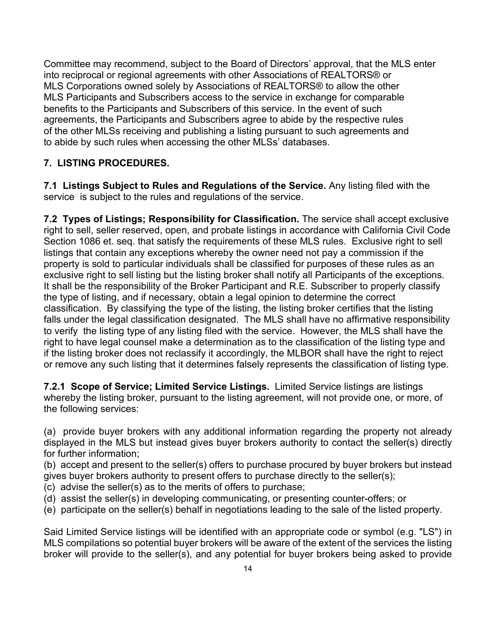Committee may recommend, subject to the Board of Directors' approval, that the MLS enter into reciprocal or regional agreements with other Associations of REALTORS® or MLS Corporations owned solely by Associations of REALTORS® to allow the other MLS Participants and Subscribers access to the service in exchange for comparable benefits to the Participants and Subscribers of this service. In the event of such agreements, the Participants and Subscribers agree to abide by the respective rules of the other MLSs receiving and publishing a listing pursuant to such agreements and to abide by such rules when accessing the other MLSs' databases.

## **7. LISTING PROCEDURES.**

**7.1 Listings Subject to Rules and Regulations of the Service.** Any listing filed with the service is subject to the rules and regulations of the service.

**7.2 Types of Listings; Responsibility for Classification.** The service shall accept exclusive right to sell, seller reserved, open, and probate listings in accordance with California Civil Code Section 1086 et. seq. that satisfy the requirements of these MLS rules. Exclusive right to sell listings that contain any exceptions whereby the owner need not pay a commission if the property is sold to particular individuals shall be classified for purposes of these rules as an exclusive right to sell listing but the listing broker shall notify all Participants of the exceptions. It shall be the responsibility of the Broker Participant and R.E. Subscriber to properly classify the type of listing, and if necessary, obtain a legal opinion to determine the correct classification. By classifying the type of the listing, the listing broker certifies that the listing falls under the legal classification designated. The MLS shall have no affirmative responsibility to verify the listing type of any listing filed with the service. However, the MLS shall have the right to have legal counsel make a determination as to the classification of the listing type and if the listing broker does not reclassify it accordingly, the MLBOR shall have the right to reject or remove any such listing that it determines falsely represents the classification of listing type.

**7.2.1 Scope of Service; Limited Service Listings.** Limited Service listings are listings whereby the listing broker, pursuant to the listing agreement, will not provide one, or more, of the following services:

(a) provide buyer brokers with any additional information regarding the property not already displayed in the MLS but instead gives buyer brokers authority to contact the seller(s) directly for further information;

(b) accept and present to the seller(s) offers to purchase procured by buyer brokers but instead gives buyer brokers authority to present offers to purchase directly to the seller(s);

- (c) advise the seller(s) as to the merits of offers to purchase;
- (d) assist the seller(s) in developing communicating, or presenting counter-offers; or
- (e) participate on the seller(s) behalf in negotiations leading to the sale of the listed property.

Said Limited Service listings will be identified with an appropriate code or symbol (e.g. "LS") in MLS compilations so potential buyer brokers will be aware of the extent of the services the listing broker will provide to the seller(s), and any potential for buyer brokers being asked to provide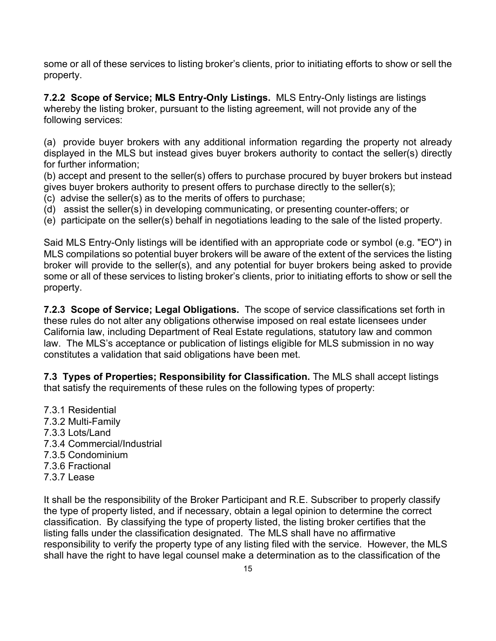some or all of these services to listing broker's clients, prior to initiating efforts to show or sell the property.

**7.2.2 Scope of Service; MLS Entry-Only Listings.** MLS Entry-Only listings are listings whereby the listing broker, pursuant to the listing agreement, will not provide any of the following services:

(a) provide buyer brokers with any additional information regarding the property not already displayed in the MLS but instead gives buyer brokers authority to contact the seller(s) directly for further information;

(b) accept and present to the seller(s) offers to purchase procured by buyer brokers but instead gives buyer brokers authority to present offers to purchase directly to the seller(s);

- (c) advise the seller(s) as to the merits of offers to purchase;
- (d) assist the seller(s) in developing communicating, or presenting counter-offers; or
- (e) participate on the seller(s) behalf in negotiations leading to the sale of the listed property.

Said MLS Entry-Only listings will be identified with an appropriate code or symbol (e.g. "EO") in MLS compilations so potential buyer brokers will be aware of the extent of the services the listing broker will provide to the seller(s), and any potential for buyer brokers being asked to provide some or all of these services to listing broker's clients, prior to initiating efforts to show or sell the property.

**7.2.3 Scope of Service; Legal Obligations.** The scope of service classifications set forth in these rules do not alter any obligations otherwise imposed on real estate licensees under California law, including Department of Real Estate regulations, statutory law and common law. The MLS's acceptance or publication of listings eligible for MLS submission in no way constitutes a validation that said obligations have been met.

**7.3 Types of Properties; Responsibility for Classification.** The MLS shall accept listings that satisfy the requirements of these rules on the following types of property:

7.3.1 Residential 7.3.2 Multi-Family 7.3.3 Lots/Land 7.3.4 Commercial/Industrial 7.3.5 Condominium 7.3.6 Fractional 7.3.7 Lease

It shall be the responsibility of the Broker Participant and R.E. Subscriber to properly classify the type of property listed, and if necessary, obtain a legal opinion to determine the correct classification. By classifying the type of property listed, the listing broker certifies that the listing falls under the classification designated. The MLS shall have no affirmative responsibility to verify the property type of any listing filed with the service. However, the MLS shall have the right to have legal counsel make a determination as to the classification of the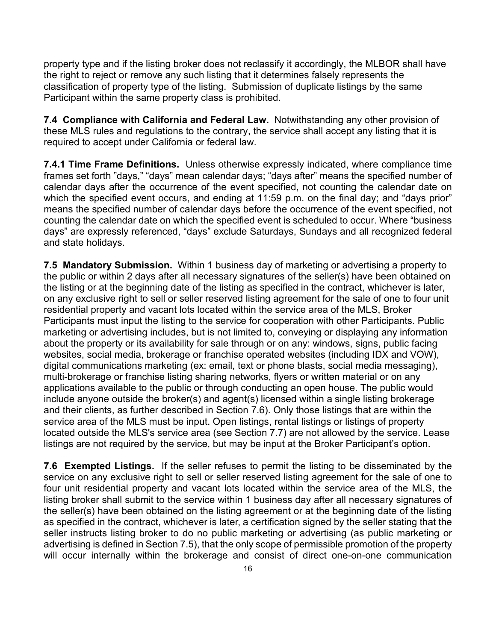property type and if the listing broker does not reclassify it accordingly, the MLBOR shall have the right to reject or remove any such listing that it determines falsely represents the classification of property type of the listing. Submission of duplicate listings by the same Participant within the same property class is prohibited.

**7.4 Compliance with California and Federal Law.** Notwithstanding any other provision of these MLS rules and regulations to the contrary, the service shall accept any listing that it is required to accept under California or federal law.

**7.4.1 Time Frame Definitions.** Unless otherwise expressly indicated, where compliance time frames set forth "days," "days" mean calendar days; "days after" means the specified number of calendar days after the occurrence of the event specified, not counting the calendar date on which the specified event occurs, and ending at 11:59 p.m. on the final day; and "days prior" means the specified number of calendar days before the occurrence of the event specified, not counting the calendar date on which the specified event is scheduled to occur. Where "business days" are expressly referenced, "days" exclude Saturdays, Sundays and all recognized federal and state holidays.

**7.5 Mandatory Submission.** Within 1 business day of marketing or advertising a property to the public or within 2 days after all necessary signatures of the seller(s) have been obtained on the listing or at the beginning date of the listing as specified in the contract, whichever is later, on any exclusive right to sell or seller reserved listing agreement for the sale of one to four unit residential property and vacant lots located within the service area of the MLS, Broker Participants must input the listing to the service for cooperation with other Participants. Public marketing or advertising includes, but is not limited to, conveying or displaying any information about the property or its availability for sale through or on any: windows, signs, public facing websites, social media, brokerage or franchise operated websites (including IDX and VOW), digital communications marketing (ex: email, text or phone blasts, social media messaging), multi-brokerage or franchise listing sharing networks, flyers or written material or on any applications available to the public or through conducting an open house. The public would include anyone outside the broker(s) and agent(s) licensed within a single listing brokerage and their clients, as further described in Section 7.6). Only those listings that are within the service area of the MLS must be input. Open listings, rental listings or listings of property located outside the MLS's service area (see Section 7.7) are not allowed by the service. Lease listings are not required by the service, but may be input at the Broker Participant's option.

**7.6 Exempted Listings.** If the seller refuses to permit the listing to be disseminated by the service on any exclusive right to sell or seller reserved listing agreement for the sale of one to four unit residential property and vacant lots located within the service area of the MLS, the listing broker shall submit to the service within 1 business day after all necessary signatures of the seller(s) have been obtained on the listing agreement or at the beginning date of the listing as specified in the contract, whichever is later, a certification signed by the seller stating that the seller instructs listing broker to do no public marketing or advertising (as public marketing or advertising is defined in Section 7.5), that the only scope of permissible promotion of the property will occur internally within the brokerage and consist of direct one-on-one communication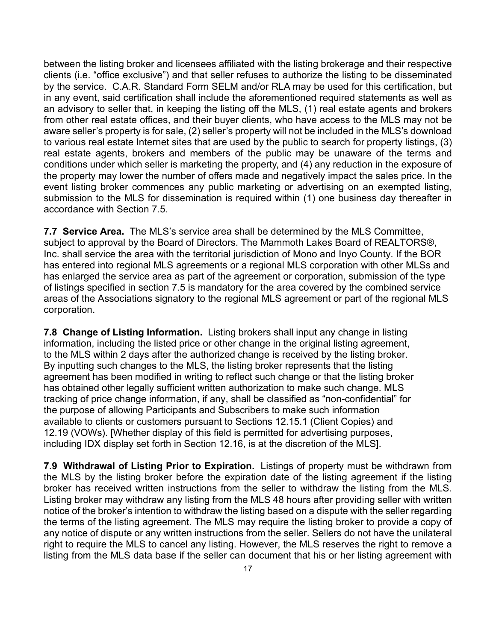between the listing broker and licensees affiliated with the listing brokerage and their respective clients (i.e. "office exclusive") and that seller refuses to authorize the listing to be disseminated by the service. C.A.R. Standard Form SELM and/or RLA may be used for this certification, but in any event, said certification shall include the aforementioned required statements as well as an advisory to seller that, in keeping the listing off the MLS, (1) real estate agents and brokers from other real estate offices, and their buyer clients, who have access to the MLS may not be aware seller's property is for sale, (2) seller's property will not be included in the MLS's download to various real estate Internet sites that are used by the public to search for property listings, (3) real estate agents, brokers and members of the public may be unaware of the terms and conditions under which seller is marketing the property, and (4) any reduction in the exposure of the property may lower the number of offers made and negatively impact the sales price. In the event listing broker commences any public marketing or advertising on an exempted listing, submission to the MLS for dissemination is required within (1) one business day thereafter in accordance with Section 7.5.

**7.7 Service Area.** The MLS's service area shall be determined by the MLS Committee, subject to approval by the Board of Directors. The Mammoth Lakes Board of REALTORS®, Inc. shall service the area with the territorial jurisdiction of Mono and Inyo County. If the BOR has entered into regional MLS agreements or a regional MLS corporation with other MLSs and has enlarged the service area as part of the agreement or corporation, submission of the type of listings specified in section 7.5 is mandatory for the area covered by the combined service areas of the Associations signatory to the regional MLS agreement or part of the regional MLS corporation.

**7.8 Change of Listing Information.** Listing brokers shall input any change in listing information, including the listed price or other change in the original listing agreement, to the MLS within 2 days after the authorized change is received by the listing broker. By inputting such changes to the MLS, the listing broker represents that the listing agreement has been modified in writing to reflect such change or that the listing broker has obtained other legally sufficient written authorization to make such change. MLS tracking of price change information, if any, shall be classified as "non-confidential" for the purpose of allowing Participants and Subscribers to make such information available to clients or customers pursuant to Sections 12.15.1 (Client Copies) and 12.19 (VOWs). [Whether display of this field is permitted for advertising purposes, including IDX display set forth in Section 12.16, is at the discretion of the MLS].

**7.9 Withdrawal of Listing Prior to Expiration.** Listings of property must be withdrawn from the MLS by the listing broker before the expiration date of the listing agreement if the listing broker has received written instructions from the seller to withdraw the listing from the MLS. Listing broker may withdraw any listing from the MLS 48 hours after providing seller with written notice of the broker's intention to withdraw the listing based on a dispute with the seller regarding the terms of the listing agreement. The MLS may require the listing broker to provide a copy of any notice of dispute or any written instructions from the seller. Sellers do not have the unilateral right to require the MLS to cancel any listing. However, the MLS reserves the right to remove a listing from the MLS data base if the seller can document that his or her listing agreement with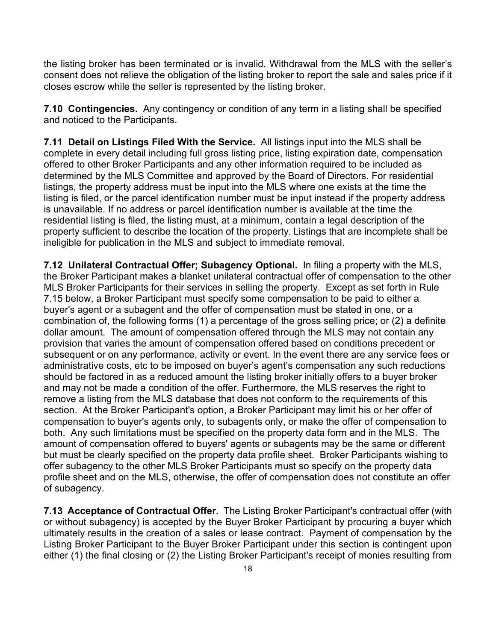the listing broker has been terminated or is invalid. Withdrawal from the MLS with the seller's consent does not relieve the obligation of the listing broker to report the sale and sales price if it closes escrow while the seller is represented by the listing broker.

**7.10 Contingencies.** Any contingency or condition of any term in a listing shall be specified and noticed to the Participants.

**7.11 Detail on Listings Filed With the Service.** All listings input into the MLS shall be complete in every detail including full gross listing price, listing expiration date, compensation offered to other Broker Participants and any other information required to be included as determined by the MLS Committee and approved by the Board of Directors. For residential listings, the property address must be input into the MLS where one exists at the time the listing is filed, or the parcel identification number must be input instead if the property address is unavailable. If no address or parcel identification number is available at the time the residential listing is filed, the listing must, at a minimum, contain a legal description of the property sufficient to describe the location of the property. Listings that are incomplete shall be ineligible for publication in the MLS and subject to immediate removal.

**7.12 Unilateral Contractual Offer; Subagency Optional.** In filing a property with the MLS, the Broker Participant makes a blanket unilateral contractual offer of compensation to the other MLS Broker Participants for their services in selling the property. Except as set forth in Rule 7.15 below, a Broker Participant must specify some compensation to be paid to either a buyer's agent or a subagent and the offer of compensation must be stated in one, or a combination of, the following forms (1) a percentage of the gross selling price; or (2) a definite dollar amount. The amount of compensation offered through the MLS may not contain any provision that varies the amount of compensation offered based on conditions precedent or subsequent or on any performance, activity or event. In the event there are any service fees or administrative costs, etc to be imposed on buyer's agent's compensation any such reductions should be factored in as a reduced amount the listing broker initially offers to a buyer broker and may not be made a condition of the offer. Furthermore, the MLS reserves the right to remove a listing from the MLS database that does not conform to the requirements of this section. At the Broker Participant's option, a Broker Participant may limit his or her offer of compensation to buyer's agents only, to subagents only, or make the offer of compensation to both. Any such limitations must be specified on the property data form and in the MLS. The amount of compensation offered to buyers' agents or subagents may be the same or different but must be clearly specified on the property data profile sheet. Broker Participants wishing to offer subagency to the other MLS Broker Participants must so specify on the property data profile sheet and on the MLS, otherwise, the offer of compensation does not constitute an offer of subagency.

**7.13 Acceptance of Contractual Offer.** The Listing Broker Participant's contractual offer (with or without subagency) is accepted by the Buyer Broker Participant by procuring a buyer which ultimately results in the creation of a sales or lease contract. Payment of compensation by the Listing Broker Participant to the Buyer Broker Participant under this section is contingent upon either (1) the final closing or (2) the Listing Broker Participant's receipt of monies resulting from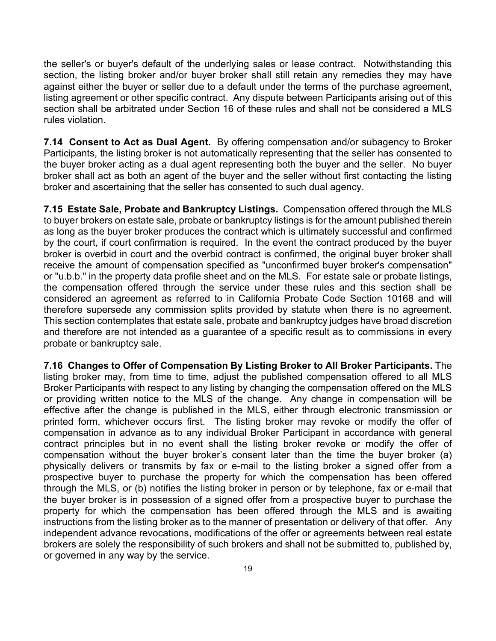the seller's or buyer's default of the underlying sales or lease contract. Notwithstanding this section, the listing broker and/or buyer broker shall still retain any remedies they may have against either the buyer or seller due to a default under the terms of the purchase agreement, listing agreement or other specific contract. Any dispute between Participants arising out of this section shall be arbitrated under Section 16 of these rules and shall not be considered a MLS rules violation.

**7.14 Consent to Act as Dual Agent.** By offering compensation and/or subagency to Broker Participants, the listing broker is not automatically representing that the seller has consented to the buyer broker acting as a dual agent representing both the buyer and the seller. No buyer broker shall act as both an agent of the buyer and the seller without first contacting the listing broker and ascertaining that the seller has consented to such dual agency.

**7.15 Estate Sale, Probate and Bankruptcy Listings.** Compensation offered through the MLS to buyer brokers on estate sale, probate or bankruptcy listings is for the amount published therein as long as the buyer broker produces the contract which is ultimately successful and confirmed by the court, if court confirmation is required. In the event the contract produced by the buyer broker is overbid in court and the overbid contract is confirmed, the original buyer broker shall receive the amount of compensation specified as "unconfirmed buyer broker's compensation" or "u.b.b." in the property data profile sheet and on the MLS. For estate sale or probate listings, the compensation offered through the service under these rules and this section shall be considered an agreement as referred to in California Probate Code Section 10168 and will therefore supersede any commission splits provided by statute when there is no agreement. This section contemplates that estate sale, probate and bankruptcy judges have broad discretion and therefore are not intended as a guarantee of a specific result as to commissions in every probate or bankruptcy sale.

**7.16 Changes to Offer of Compensation By Listing Broker to All Broker Participants.** The listing broker may, from time to time, adjust the published compensation offered to all MLS Broker Participants with respect to any listing by changing the compensation offered on the MLS or providing written notice to the MLS of the change. Any change in compensation will be effective after the change is published in the MLS, either through electronic transmission or printed form, whichever occurs first. The listing broker may revoke or modify the offer of compensation in advance as to any individual Broker Participant in accordance with general contract principles but in no event shall the listing broker revoke or modify the offer of compensation without the buyer broker's consent later than the time the buyer broker (a) physically delivers or transmits by fax or e-mail to the listing broker a signed offer from a prospective buyer to purchase the property for which the compensation has been offered through the MLS, or (b) notifies the listing broker in person or by telephone, fax or e-mail that the buyer broker is in possession of a signed offer from a prospective buyer to purchase the property for which the compensation has been offered through the MLS and is awaiting instructions from the listing broker as to the manner of presentation or delivery of that offer. Any independent advance revocations, modifications of the offer or agreements between real estate brokers are solely the responsibility of such brokers and shall not be submitted to, published by, or governed in any way by the service.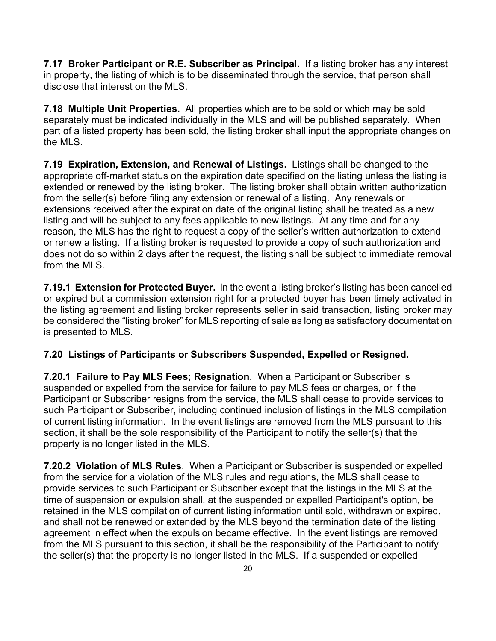**7.17 Broker Participant or R.E. Subscriber as Principal.** If a listing broker has any interest in property, the listing of which is to be disseminated through the service, that person shall disclose that interest on the MLS.

**7.18 Multiple Unit Properties.** All properties which are to be sold or which may be sold separately must be indicated individually in the MLS and will be published separately. When part of a listed property has been sold, the listing broker shall input the appropriate changes on the MLS.

**7.19 Expiration, Extension, and Renewal of Listings.** Listings shall be changed to the appropriate off-market status on the expiration date specified on the listing unless the listing is extended or renewed by the listing broker. The listing broker shall obtain written authorization from the seller(s) before filing any extension or renewal of a listing. Any renewals or extensions received after the expiration date of the original listing shall be treated as a new listing and will be subject to any fees applicable to new listings. At any time and for any reason, the MLS has the right to request a copy of the seller's written authorization to extend or renew a listing. If a listing broker is requested to provide a copy of such authorization and does not do so within 2 days after the request, the listing shall be subject to immediate removal from the MLS.

**7.19.1 Extension for Protected Buyer.** In the event a listing broker's listing has been cancelled or expired but a commission extension right for a protected buyer has been timely activated in the listing agreement and listing broker represents seller in said transaction, listing broker may be considered the "listing broker" for MLS reporting of sale as long as satisfactory documentation is presented to MLS.

#### **7.20 Listings of Participants or Subscribers Suspended, Expelled or Resigned.**

**7.20.1 Failure to Pay MLS Fees; Resignation**. When a Participant or Subscriber is suspended or expelled from the service for failure to pay MLS fees or charges, or if the Participant or Subscriber resigns from the service, the MLS shall cease to provide services to such Participant or Subscriber, including continued inclusion of listings in the MLS compilation of current listing information. In the event listings are removed from the MLS pursuant to this section, it shall be the sole responsibility of the Participant to notify the seller(s) that the property is no longer listed in the MLS.

**7.20.2 Violation of MLS Rules**. When a Participant or Subscriber is suspended or expelled from the service for a violation of the MLS rules and regulations, the MLS shall cease to provide services to such Participant or Subscriber except that the listings in the MLS at the time of suspension or expulsion shall, at the suspended or expelled Participant's option, be retained in the MLS compilation of current listing information until sold, withdrawn or expired, and shall not be renewed or extended by the MLS beyond the termination date of the listing agreement in effect when the expulsion became effective. In the event listings are removed from the MLS pursuant to this section, it shall be the responsibility of the Participant to notify the seller(s) that the property is no longer listed in the MLS. If a suspended or expelled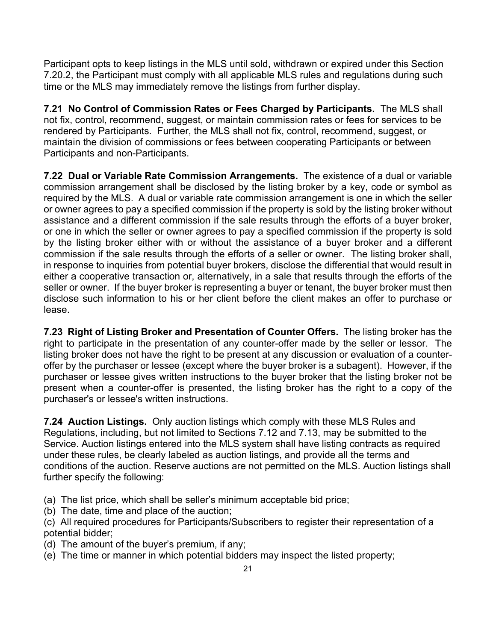Participant opts to keep listings in the MLS until sold, withdrawn or expired under this Section 7.20.2, the Participant must comply with all applicable MLS rules and regulations during such time or the MLS may immediately remove the listings from further display.

**7.21 No Control of Commission Rates or Fees Charged by Participants.** The MLS shall not fix, control, recommend, suggest, or maintain commission rates or fees for services to be rendered by Participants. Further, the MLS shall not fix, control, recommend, suggest, or maintain the division of commissions or fees between cooperating Participants or between Participants and non-Participants.

**7.22 Dual or Variable Rate Commission Arrangements.** The existence of a dual or variable commission arrangement shall be disclosed by the listing broker by a key, code or symbol as required by the MLS. A dual or variable rate commission arrangement is one in which the seller or owner agrees to pay a specified commission if the property is sold by the listing broker without assistance and a different commission if the sale results through the efforts of a buyer broker, or one in which the seller or owner agrees to pay a specified commission if the property is sold by the listing broker either with or without the assistance of a buyer broker and a different commission if the sale results through the efforts of a seller or owner. The listing broker shall, in response to inquiries from potential buyer brokers, disclose the differential that would result in either a cooperative transaction or, alternatively, in a sale that results through the efforts of the seller or owner. If the buyer broker is representing a buyer or tenant, the buyer broker must then disclose such information to his or her client before the client makes an offer to purchase or lease.

**7.23 Right of Listing Broker and Presentation of Counter Offers.** The listing broker has the right to participate in the presentation of any counter-offer made by the seller or lessor. The listing broker does not have the right to be present at any discussion or evaluation of a counteroffer by the purchaser or lessee (except where the buyer broker is a subagent). However, if the purchaser or lessee gives written instructions to the buyer broker that the listing broker not be present when a counter-offer is presented, the listing broker has the right to a copy of the purchaser's or lessee's written instructions.

**7.24 Auction Listings.** Only auction listings which comply with these MLS Rules and Regulations, including, but not limited to Sections 7.12 and 7.13, may be submitted to the Service. Auction listings entered into the MLS system shall have listing contracts as required under these rules, be clearly labeled as auction listings, and provide all the terms and conditions of the auction. Reserve auctions are not permitted on the MLS. Auction listings shall further specify the following:

(a) The list price, which shall be seller's minimum acceptable bid price;

(b) The date, time and place of the auction;

(c) All required procedures for Participants/Subscribers to register their representation of a potential bidder;

- (d) The amount of the buyer's premium, if any;
- (e) The time or manner in which potential bidders may inspect the listed property;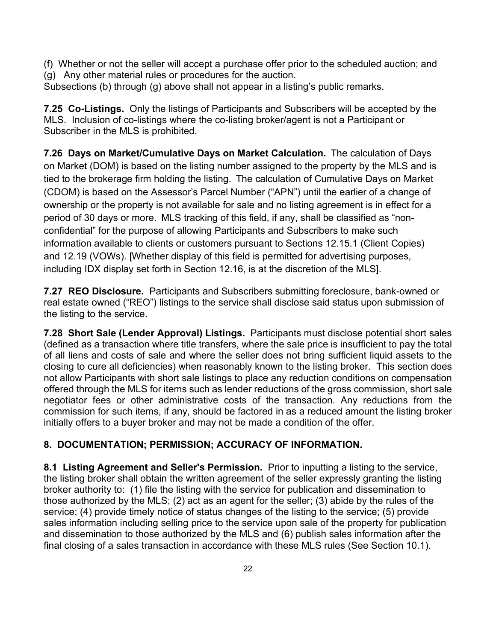(f) Whether or not the seller will accept a purchase offer prior to the scheduled auction; and (g) Any other material rules or procedures for the auction.

Subsections (b) through (g) above shall not appear in a listing's public remarks.

**7.25 Co-Listings.** Only the listings of Participants and Subscribers will be accepted by the MLS. Inclusion of co-listings where the co-listing broker/agent is not a Participant or Subscriber in the MLS is prohibited.

**7.26 Days on Market/Cumulative Days on Market Calculation.** The calculation of Days on Market (DOM) is based on the listing number assigned to the property by the MLS and is tied to the brokerage firm holding the listing. The calculation of Cumulative Days on Market (CDOM) is based on the Assessor's Parcel Number ("APN") until the earlier of a change of ownership or the property is not available for sale and no listing agreement is in effect for a period of 30 days or more. MLS tracking of this field, if any, shall be classified as "nonconfidential" for the purpose of allowing Participants and Subscribers to make such information available to clients or customers pursuant to Sections 12.15.1 (Client Copies) and 12.19 (VOWs). [Whether display of this field is permitted for advertising purposes, including IDX display set forth in Section 12.16, is at the discretion of the MLS].

**7.27 REO Disclosure.** Participants and Subscribers submitting foreclosure, bank-owned or real estate owned ("REO") listings to the service shall disclose said status upon submission of the listing to the service.

**7.28 Short Sale (Lender Approval) Listings.** Participants must disclose potential short sales (defined as a transaction where title transfers, where the sale price is insufficient to pay the total of all liens and costs of sale and where the seller does not bring sufficient liquid assets to the closing to cure all deficiencies) when reasonably known to the listing broker. This section does not allow Participants with short sale listings to place any reduction conditions on compensation offered through the MLS for items such as lender reductions of the gross commission, short sale negotiator fees or other administrative costs of the transaction. Any reductions from the commission for such items, if any, should be factored in as a reduced amount the listing broker initially offers to a buyer broker and may not be made a condition of the offer.

## **8. DOCUMENTATION; PERMISSION; ACCURACY OF INFORMATION.**

**8.1 Listing Agreement and Seller's Permission.** Prior to inputting a listing to the service, the listing broker shall obtain the written agreement of the seller expressly granting the listing broker authority to: (1) file the listing with the service for publication and dissemination to those authorized by the MLS; (2) act as an agent for the seller; (3) abide by the rules of the service; (4) provide timely notice of status changes of the listing to the service; (5) provide sales information including selling price to the service upon sale of the property for publication and dissemination to those authorized by the MLS and (6) publish sales information after the final closing of a sales transaction in accordance with these MLS rules (See Section 10.1).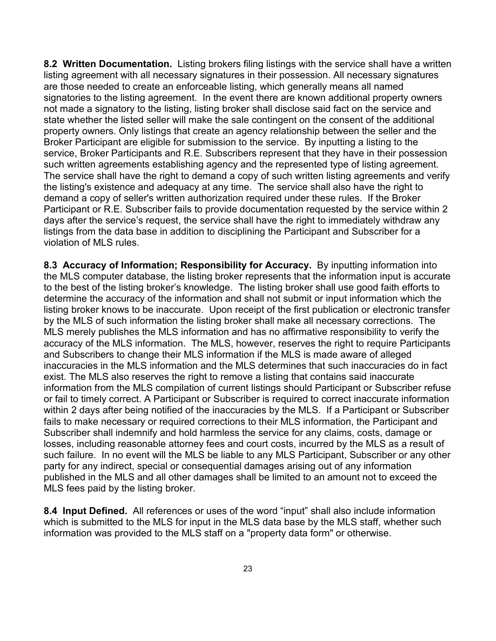**8.2 Written Documentation.** Listing brokers filing listings with the service shall have a written listing agreement with all necessary signatures in their possession. All necessary signatures are those needed to create an enforceable listing, which generally means all named signatories to the listing agreement. In the event there are known additional property owners not made a signatory to the listing, listing broker shall disclose said fact on the service and state whether the listed seller will make the sale contingent on the consent of the additional property owners. Only listings that create an agency relationship between the seller and the Broker Participant are eligible for submission to the service. By inputting a listing to the service, Broker Participants and R.E. Subscribers represent that they have in their possession such written agreements establishing agency and the represented type of listing agreement. The service shall have the right to demand a copy of such written listing agreements and verify the listing's existence and adequacy at any time. The service shall also have the right to demand a copy of seller's written authorization required under these rules. If the Broker Participant or R.E. Subscriber fails to provide documentation requested by the service within 2 days after the service's request, the service shall have the right to immediately withdraw any listings from the data base in addition to disciplining the Participant and Subscriber for a violation of MLS rules.

**8.3 Accuracy of Information; Responsibility for Accuracy.** By inputting information into the MLS computer database, the listing broker represents that the information input is accurate to the best of the listing broker's knowledge. The listing broker shall use good faith efforts to determine the accuracy of the information and shall not submit or input information which the listing broker knows to be inaccurate. Upon receipt of the first publication or electronic transfer by the MLS of such information the listing broker shall make all necessary corrections. The MLS merely publishes the MLS information and has no affirmative responsibility to verify the accuracy of the MLS information. The MLS, however, reserves the right to require Participants and Subscribers to change their MLS information if the MLS is made aware of alleged inaccuracies in the MLS information and the MLS determines that such inaccuracies do in fact exist. The MLS also reserves the right to remove a listing that contains said inaccurate information from the MLS compilation of current listings should Participant or Subscriber refuse or fail to timely correct. A Participant or Subscriber is required to correct inaccurate information within 2 days after being notified of the inaccuracies by the MLS. If a Participant or Subscriber fails to make necessary or required corrections to their MLS information, the Participant and Subscriber shall indemnify and hold harmless the service for any claims, costs, damage or losses, including reasonable attorney fees and court costs, incurred by the MLS as a result of such failure. In no event will the MLS be liable to any MLS Participant, Subscriber or any other party for any indirect, special or consequential damages arising out of any information published in the MLS and all other damages shall be limited to an amount not to exceed the MLS fees paid by the listing broker.

**8.4 Input Defined.** All references or uses of the word "input" shall also include information which is submitted to the MLS for input in the MLS data base by the MLS staff, whether such information was provided to the MLS staff on a "property data form" or otherwise.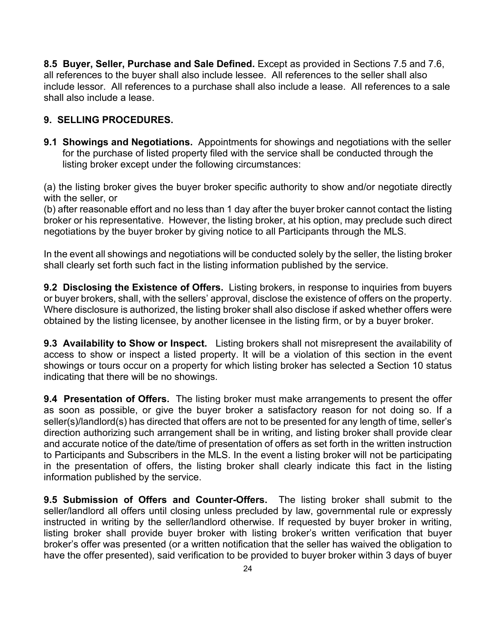**8.5 Buyer, Seller, Purchase and Sale Defined.** Except as provided in Sections 7.5 and 7.6, all references to the buyer shall also include lessee. All references to the seller shall also include lessor. All references to a purchase shall also include a lease. All references to a sale shall also include a lease.

### **9. SELLING PROCEDURES.**

**9.1 Showings and Negotiations.** Appointments for showings and negotiations with the seller for the purchase of listed property filed with the service shall be conducted through the listing broker except under the following circumstances:

(a) the listing broker gives the buyer broker specific authority to show and/or negotiate directly with the seller, or

(b) after reasonable effort and no less than 1 day after the buyer broker cannot contact the listing broker or his representative. However, the listing broker, at his option, may preclude such direct negotiations by the buyer broker by giving notice to all Participants through the MLS.

In the event all showings and negotiations will be conducted solely by the seller, the listing broker shall clearly set forth such fact in the listing information published by the service.

**9.2 Disclosing the Existence of Offers.** Listing brokers, in response to inquiries from buyers or buyer brokers, shall, with the sellers' approval, disclose the existence of offers on the property. Where disclosure is authorized, the listing broker shall also disclose if asked whether offers were obtained by the listing licensee, by another licensee in the listing firm, or by a buyer broker.

**9.3 Availability to Show or Inspect.** Listing brokers shall not misrepresent the availability of access to show or inspect a listed property. It will be a violation of this section in the event showings or tours occur on a property for which listing broker has selected a Section 10 status indicating that there will be no showings.

**9.4 Presentation of Offers.** The listing broker must make arrangements to present the offer as soon as possible, or give the buyer broker a satisfactory reason for not doing so. If a seller(s)/landlord(s) has directed that offers are not to be presented for any length of time, seller's direction authorizing such arrangement shall be in writing, and listing broker shall provide clear and accurate notice of the date/time of presentation of offers as set forth in the written instruction to Participants and Subscribers in the MLS. In the event a listing broker will not be participating in the presentation of offers, the listing broker shall clearly indicate this fact in the listing information published by the service.

**9.5 Submission of Offers and Counter-Offers.** The listing broker shall submit to the seller/landlord all offers until closing unless precluded by law, governmental rule or expressly instructed in writing by the seller/landlord otherwise. If requested by buyer broker in writing, listing broker shall provide buyer broker with listing broker's written verification that buyer broker's offer was presented (or a written notification that the seller has waived the obligation to have the offer presented), said verification to be provided to buyer broker within 3 days of buyer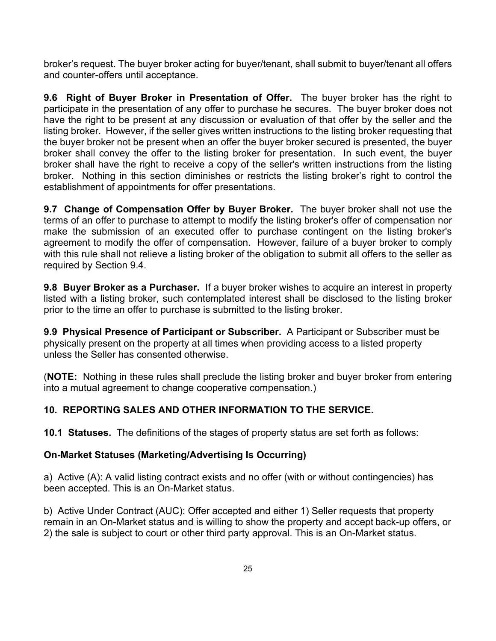broker's request. The buyer broker acting for buyer/tenant, shall submit to buyer/tenant all offers and counter-offers until acceptance.

**9.6 Right of Buyer Broker in Presentation of Offer.** The buyer broker has the right to participate in the presentation of any offer to purchase he secures. The buyer broker does not have the right to be present at any discussion or evaluation of that offer by the seller and the listing broker. However, if the seller gives written instructions to the listing broker requesting that the buyer broker not be present when an offer the buyer broker secured is presented, the buyer broker shall convey the offer to the listing broker for presentation. In such event, the buyer broker shall have the right to receive a copy of the seller's written instructions from the listing broker. Nothing in this section diminishes or restricts the listing broker's right to control the establishment of appointments for offer presentations.

**9.7 Change of Compensation Offer by Buyer Broker.** The buyer broker shall not use the terms of an offer to purchase to attempt to modify the listing broker's offer of compensation nor make the submission of an executed offer to purchase contingent on the listing broker's agreement to modify the offer of compensation. However, failure of a buyer broker to comply with this rule shall not relieve a listing broker of the obligation to submit all offers to the seller as required by Section 9.4.

**9.8 Buyer Broker as a Purchaser.** If a buyer broker wishes to acquire an interest in property listed with a listing broker, such contemplated interest shall be disclosed to the listing broker prior to the time an offer to purchase is submitted to the listing broker.

**9.9 Physical Presence of Participant or Subscriber.** A Participant or Subscriber must be physically present on the property at all times when providing access to a listed property unless the Seller has consented otherwise.

(**NOTE:** Nothing in these rules shall preclude the listing broker and buyer broker from entering into a mutual agreement to change cooperative compensation.)

## **10. REPORTING SALES AND OTHER INFORMATION TO THE SERVICE.**

**10.1 Statuses.** The definitions of the stages of property status are set forth as follows:

#### **On-Market Statuses (Marketing/Advertising Is Occurring)**

a) Active (A): A valid listing contract exists and no offer (with or without contingencies) has been accepted. This is an On-Market status.

b) Active Under Contract (AUC): Offer accepted and either 1) Seller requests that property remain in an On-Market status and is willing to show the property and accept back-up offers, or 2) the sale is subject to court or other third party approval. This is an On-Market status.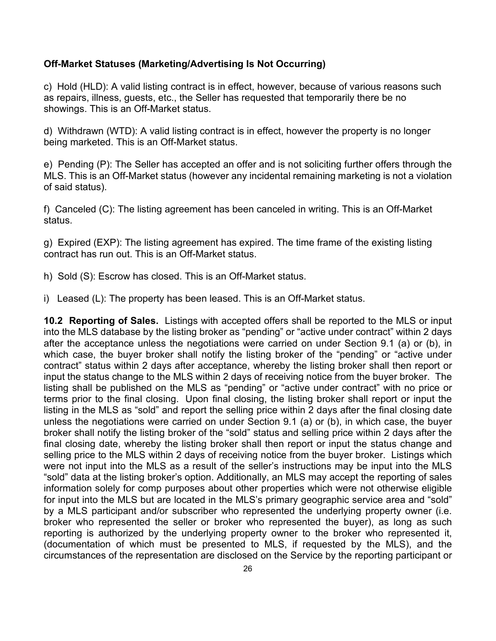#### **Off-Market Statuses (Marketing/Advertising Is Not Occurring)**

c) Hold (HLD): A valid listing contract is in effect, however, because of various reasons such as repairs, illness, guests, etc., the Seller has requested that temporarily there be no showings. This is an Off-Market status.

d) Withdrawn (WTD): A valid listing contract is in effect, however the property is no longer being marketed. This is an Off-Market status.

e) Pending (P): The Seller has accepted an offer and is not soliciting further offers through the MLS. This is an Off-Market status (however any incidental remaining marketing is not a violation of said status).

f) Canceled (C): The listing agreement has been canceled in writing. This is an Off-Market status.

g) Expired (EXP): The listing agreement has expired. The time frame of the existing listing contract has run out. This is an Off-Market status.

- h) Sold (S): Escrow has closed. This is an Off-Market status.
- i) Leased (L): The property has been leased. This is an Off-Market status.

**10.2 Reporting of Sales.** Listings with accepted offers shall be reported to the MLS or input into the MLS database by the listing broker as "pending" or "active under contract" within 2 days after the acceptance unless the negotiations were carried on under Section 9.1 (a) or (b), in which case, the buyer broker shall notify the listing broker of the "pending" or "active under contract" status within 2 days after acceptance, whereby the listing broker shall then report or input the status change to the MLS within 2 days of receiving notice from the buyer broker. The listing shall be published on the MLS as "pending" or "active under contract" with no price or terms prior to the final closing. Upon final closing, the listing broker shall report or input the listing in the MLS as "sold" and report the selling price within 2 days after the final closing date unless the negotiations were carried on under Section 9.1 (a) or (b), in which case, the buyer broker shall notify the listing broker of the "sold" status and selling price within 2 days after the final closing date, whereby the listing broker shall then report or input the status change and selling price to the MLS within 2 days of receiving notice from the buyer broker. Listings which were not input into the MLS as a result of the seller's instructions may be input into the MLS "sold" data at the listing broker's option. Additionally, an MLS may accept the reporting of sales information solely for comp purposes about other properties which were not otherwise eligible for input into the MLS but are located in the MLS's primary geographic service area and "sold" by a MLS participant and/or subscriber who represented the underlying property owner (i.e. broker who represented the seller or broker who represented the buyer), as long as such reporting is authorized by the underlying property owner to the broker who represented it, (documentation of which must be presented to MLS, if requested by the MLS), and the circumstances of the representation are disclosed on the Service by the reporting participant or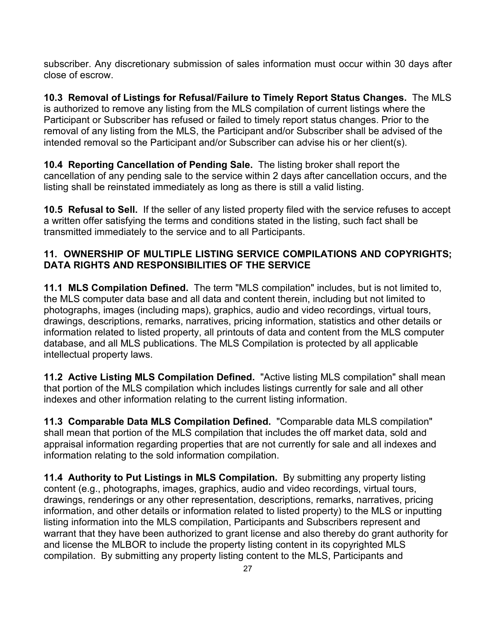subscriber. Any discretionary submission of sales information must occur within 30 days after close of escrow.

**10.3 Removal of Listings for Refusal/Failure to Timely Report Status Changes.** The MLS is authorized to remove any listing from the MLS compilation of current listings where the Participant or Subscriber has refused or failed to timely report status changes. Prior to the removal of any listing from the MLS, the Participant and/or Subscriber shall be advised of the intended removal so the Participant and/or Subscriber can advise his or her client(s).

**10.4 Reporting Cancellation of Pending Sale.** The listing broker shall report the cancellation of any pending sale to the service within 2 days after cancellation occurs, and the listing shall be reinstated immediately as long as there is still a valid listing.

**10.5 Refusal to Sell.** If the seller of any listed property filed with the service refuses to accept a written offer satisfying the terms and conditions stated in the listing, such fact shall be transmitted immediately to the service and to all Participants.

## **11. OWNERSHIP OF MULTIPLE LISTING SERVICE COMPILATIONS AND COPYRIGHTS; DATA RIGHTS AND RESPONSIBILITIES OF THE SERVICE**

**11.1 MLS Compilation Defined.** The term "MLS compilation" includes, but is not limited to, the MLS computer data base and all data and content therein, including but not limited to photographs, images (including maps), graphics, audio and video recordings, virtual tours, drawings, descriptions, remarks, narratives, pricing information, statistics and other details or information related to listed property, all printouts of data and content from the MLS computer database, and all MLS publications. The MLS Compilation is protected by all applicable intellectual property laws.

**11.2 Active Listing MLS Compilation Defined.** "Active listing MLS compilation" shall mean that portion of the MLS compilation which includes listings currently for sale and all other indexes and other information relating to the current listing information.

**11.3 Comparable Data MLS Compilation Defined.** "Comparable data MLS compilation" shall mean that portion of the MLS compilation that includes the off market data, sold and appraisal information regarding properties that are not currently for sale and all indexes and information relating to the sold information compilation.

**11.4 Authority to Put Listings in MLS Compilation.** By submitting any property listing content (e.g., photographs, images, graphics, audio and video recordings, virtual tours, drawings, renderings or any other representation, descriptions, remarks, narratives, pricing information, and other details or information related to listed property) to the MLS or inputting listing information into the MLS compilation, Participants and Subscribers represent and warrant that they have been authorized to grant license and also thereby do grant authority for and license the MLBOR to include the property listing content in its copyrighted MLS compilation. By submitting any property listing content to the MLS, Participants and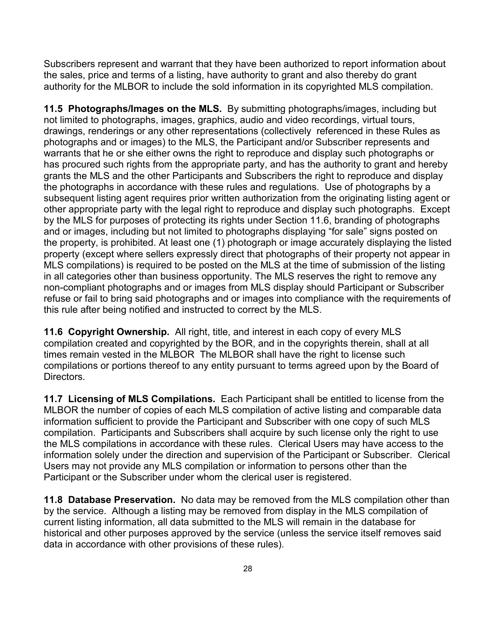Subscribers represent and warrant that they have been authorized to report information about the sales, price and terms of a listing, have authority to grant and also thereby do grant authority for the MLBOR to include the sold information in its copyrighted MLS compilation.

**11.5 Photographs/Images on the MLS.** By submitting photographs/images, including but not limited to photographs, images, graphics, audio and video recordings, virtual tours, drawings, renderings or any other representations (collectively referenced in these Rules as photographs and or images) to the MLS, the Participant and/or Subscriber represents and warrants that he or she either owns the right to reproduce and display such photographs or has procured such rights from the appropriate party, and has the authority to grant and hereby grants the MLS and the other Participants and Subscribers the right to reproduce and display the photographs in accordance with these rules and regulations. Use of photographs by a subsequent listing agent requires prior written authorization from the originating listing agent or other appropriate party with the legal right to reproduce and display such photographs. Except by the MLS for purposes of protecting its rights under Section 11.6, branding of photographs and or images, including but not limited to photographs displaying "for sale" signs posted on the property, is prohibited. At least one (1) photograph or image accurately displaying the listed property (except where sellers expressly direct that photographs of their property not appear in MLS compilations) is required to be posted on the MLS at the time of submission of the listing in all categories other than business opportunity. The MLS reserves the right to remove any non-compliant photographs and or images from MLS display should Participant or Subscriber refuse or fail to bring said photographs and or images into compliance with the requirements of this rule after being notified and instructed to correct by the MLS.

**11.6 Copyright Ownership.** All right, title, and interest in each copy of every MLS compilation created and copyrighted by the BOR, and in the copyrights therein, shall at all times remain vested in the MLBOR The MLBOR shall have the right to license such compilations or portions thereof to any entity pursuant to terms agreed upon by the Board of Directors.

**11.7 Licensing of MLS Compilations.** Each Participant shall be entitled to license from the MLBOR the number of copies of each MLS compilation of active listing and comparable data information sufficient to provide the Participant and Subscriber with one copy of such MLS compilation. Participants and Subscribers shall acquire by such license only the right to use the MLS compilations in accordance with these rules. Clerical Users may have access to the information solely under the direction and supervision of the Participant or Subscriber. Clerical Users may not provide any MLS compilation or information to persons other than the Participant or the Subscriber under whom the clerical user is registered.

**11.8 Database Preservation.** No data may be removed from the MLS compilation other than by the service. Although a listing may be removed from display in the MLS compilation of current listing information, all data submitted to the MLS will remain in the database for historical and other purposes approved by the service (unless the service itself removes said data in accordance with other provisions of these rules).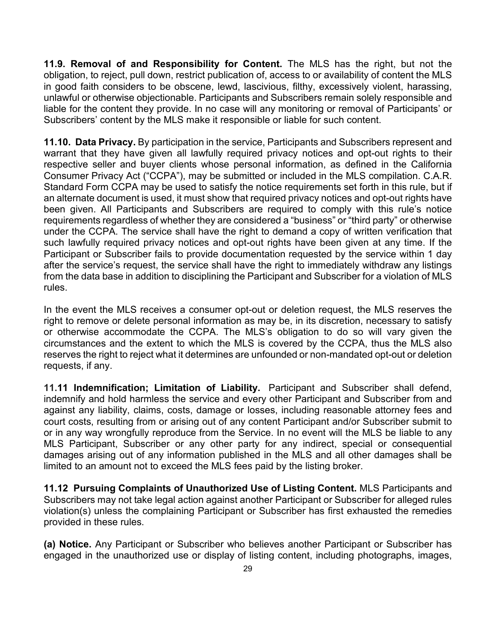**11.9. Removal of and Responsibility for Content.** The MLS has the right, but not the obligation, to reject, pull down, restrict publication of, access to or availability of content the MLS in good faith considers to be obscene, lewd, lascivious, filthy, excessively violent, harassing, unlawful or otherwise objectionable. Participants and Subscribers remain solely responsible and liable for the content they provide. In no case will any monitoring or removal of Participants' or Subscribers' content by the MLS make it responsible or liable for such content.

**11.10. Data Privacy.** By participation in the service, Participants and Subscribers represent and warrant that they have given all lawfully required privacy notices and opt-out rights to their respective seller and buyer clients whose personal information, as defined in the California Consumer Privacy Act ("CCPA"), may be submitted or included in the MLS compilation. C.A.R. Standard Form CCPA may be used to satisfy the notice requirements set forth in this rule, but if an alternate document is used, it must show that required privacy notices and opt-out rights have been given. All Participants and Subscribers are required to comply with this rule's notice requirements regardless of whether they are considered a "business" or "third party" or otherwise under the CCPA. The service shall have the right to demand a copy of written verification that such lawfully required privacy notices and opt-out rights have been given at any time. If the Participant or Subscriber fails to provide documentation requested by the service within 1 day after the service's request, the service shall have the right to immediately withdraw any listings from the data base in addition to disciplining the Participant and Subscriber for a violation of MLS rules.

In the event the MLS receives a consumer opt-out or deletion request, the MLS reserves the right to remove or delete personal information as may be, in its discretion, necessary to satisfy or otherwise accommodate the CCPA. The MLS's obligation to do so will vary given the circumstances and the extent to which the MLS is covered by the CCPA, thus the MLS also reserves the right to reject what it determines are unfounded or non-mandated opt-out or deletion requests, if any.

**11.11 Indemnification; Limitation of Liability.** Participant and Subscriber shall defend, indemnify and hold harmless the service and every other Participant and Subscriber from and against any liability, claims, costs, damage or losses, including reasonable attorney fees and court costs, resulting from or arising out of any content Participant and/or Subscriber submit to or in any way wrongfully reproduce from the Service. In no event will the MLS be liable to any MLS Participant, Subscriber or any other party for any indirect, special or consequential damages arising out of any information published in the MLS and all other damages shall be limited to an amount not to exceed the MLS fees paid by the listing broker.

**11.12 Pursuing Complaints of Unauthorized Use of Listing Content.** MLS Participants and Subscribers may not take legal action against another Participant or Subscriber for alleged rules violation(s) unless the complaining Participant or Subscriber has first exhausted the remedies provided in these rules.

**(a) Notice.** Any Participant or Subscriber who believes another Participant or Subscriber has engaged in the unauthorized use or display of listing content, including photographs, images,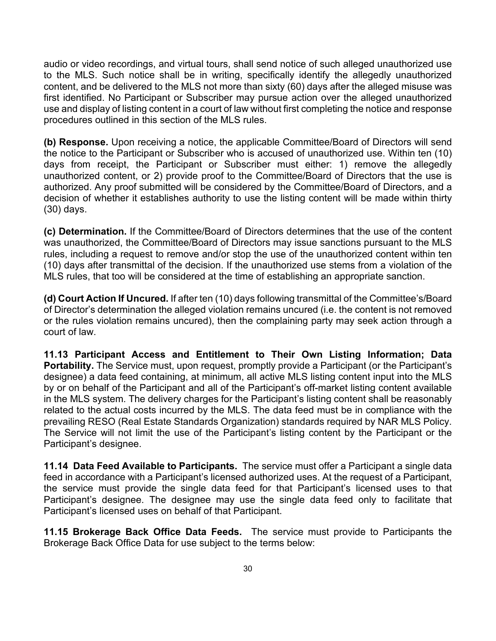audio or video recordings, and virtual tours, shall send notice of such alleged unauthorized use to the MLS. Such notice shall be in writing, specifically identify the allegedly unauthorized content, and be delivered to the MLS not more than sixty (60) days after the alleged misuse was first identified. No Participant or Subscriber may pursue action over the alleged unauthorized use and display of listing content in a court of law without first completing the notice and response procedures outlined in this section of the MLS rules.

**(b) Response.** Upon receiving a notice, the applicable Committee/Board of Directors will send the notice to the Participant or Subscriber who is accused of unauthorized use. Within ten (10) days from receipt, the Participant or Subscriber must either: 1) remove the allegedly unauthorized content, or 2) provide proof to the Committee/Board of Directors that the use is authorized. Any proof submitted will be considered by the Committee/Board of Directors, and a decision of whether it establishes authority to use the listing content will be made within thirty (30) days.

**(c) Determination.** If the Committee/Board of Directors determines that the use of the content was unauthorized, the Committee/Board of Directors may issue sanctions pursuant to the MLS rules, including a request to remove and/or stop the use of the unauthorized content within ten (10) days after transmittal of the decision. If the unauthorized use stems from a violation of the MLS rules, that too will be considered at the time of establishing an appropriate sanction.

**(d) Court Action If Uncured.** If after ten (10) days following transmittal of the Committee's/Board of Director's determination the alleged violation remains uncured (i.e. the content is not removed or the rules violation remains uncured), then the complaining party may seek action through a court of law.

**11.13 Participant Access and Entitlement to Their Own Listing Information; Data Portability.** The Service must, upon request, promptly provide a Participant (or the Participant's designee) a data feed containing, at minimum, all active MLS listing content input into the MLS by or on behalf of the Participant and all of the Participant's off-market listing content available in the MLS system. The delivery charges for the Participant's listing content shall be reasonably related to the actual costs incurred by the MLS. The data feed must be in compliance with the prevailing RESO (Real Estate Standards Organization) standards required by NAR MLS Policy. The Service will not limit the use of the Participant's listing content by the Participant or the Participant's designee.

**11.14 Data Feed Available to Participants.** The service must offer a Participant a single data feed in accordance with a Participant's licensed authorized uses. At the request of a Participant, the service must provide the single data feed for that Participant's licensed uses to that Participant's designee. The designee may use the single data feed only to facilitate that Participant's licensed uses on behalf of that Participant.

**11.15 Brokerage Back Office Data Feeds.** The service must provide to Participants the Brokerage Back Office Data for use subject to the terms below: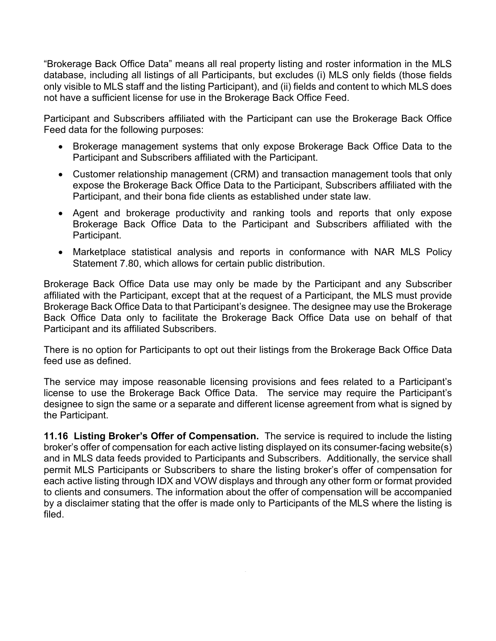"Brokerage Back Office Data" means all real property listing and roster information in the MLS database, including all listings of all Participants, but excludes (i) MLS only fields (those fields only visible to MLS staff and the listing Participant), and (ii) fields and content to which MLS does not have a sufficient license for use in the Brokerage Back Office Feed.

Participant and Subscribers affiliated with the Participant can use the Brokerage Back Office Feed data for the following purposes:

- Brokerage management systems that only expose Brokerage Back Office Data to the Participant and Subscribers affiliated with the Participant.
- Customer relationship management (CRM) and transaction management tools that only expose the Brokerage Back Office Data to the Participant, Subscribers affiliated with the Participant, and their bona fide clients as established under state law.
- Agent and brokerage productivity and ranking tools and reports that only expose Brokerage Back Office Data to the Participant and Subscribers affiliated with the Participant.
- Marketplace statistical analysis and reports in conformance with NAR MLS Policy Statement 7.80, which allows for certain public distribution.

Brokerage Back Office Data use may only be made by the Participant and any Subscriber affiliated with the Participant, except that at the request of a Participant, the MLS must provide Brokerage Back Office Data to that Participant's designee. The designee may use the Brokerage Back Office Data only to facilitate the Brokerage Back Office Data use on behalf of that Participant and its affiliated Subscribers.

There is no option for Participants to opt out their listings from the Brokerage Back Office Data feed use as defined.

The service may impose reasonable licensing provisions and fees related to a Participant's license to use the Brokerage Back Office Data. The service may require the Participant's designee to sign the same or a separate and different license agreement from what is signed by the Participant.

**11.16 Listing Broker's Offer of Compensation.** The service is required to include the listing broker's offer of compensation for each active listing displayed on its consumer-facing website(s) and in MLS data feeds provided to Participants and Subscribers. Additionally, the service shall permit MLS Participants or Subscribers to share the listing broker's offer of compensation for each active listing through IDX and VOW displays and through any other form or format provided to clients and consumers. The information about the offer of compensation will be accompanied by a disclaimer stating that the offer is made only to Participants of the MLS where the listing is filed.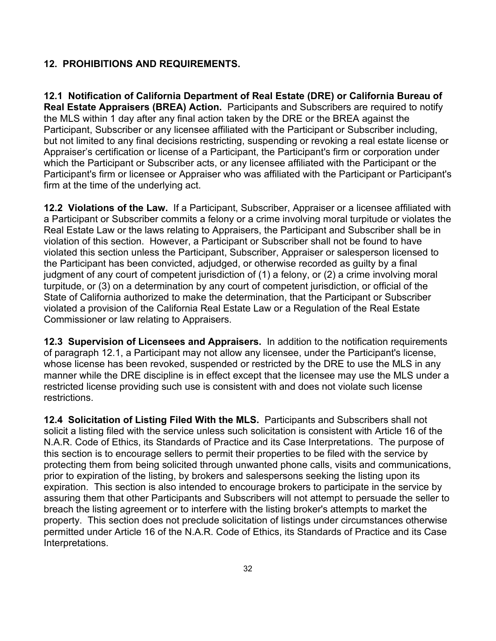#### **12. PROHIBITIONS AND REQUIREMENTS.**

**12.1 Notification of California Department of Real Estate (DRE) or California Bureau of Real Estate Appraisers (BREA) Action.** Participants and Subscribers are required to notify the MLS within 1 day after any final action taken by the DRE or the BREA against the Participant, Subscriber or any licensee affiliated with the Participant or Subscriber including, but not limited to any final decisions restricting, suspending or revoking a real estate license or Appraiser's certification or license of a Participant, the Participant's firm or corporation under which the Participant or Subscriber acts, or any licensee affiliated with the Participant or the Participant's firm or licensee or Appraiser who was affiliated with the Participant or Participant's firm at the time of the underlying act.

**12.2 Violations of the Law.** If a Participant, Subscriber, Appraiser or a licensee affiliated with a Participant or Subscriber commits a felony or a crime involving moral turpitude or violates the Real Estate Law or the laws relating to Appraisers, the Participant and Subscriber shall be in violation of this section. However, a Participant or Subscriber shall not be found to have violated this section unless the Participant, Subscriber, Appraiser or salesperson licensed to the Participant has been convicted, adjudged, or otherwise recorded as guilty by a final judgment of any court of competent jurisdiction of (1) a felony, or (2) a crime involving moral turpitude, or (3) on a determination by any court of competent jurisdiction, or official of the State of California authorized to make the determination, that the Participant or Subscriber violated a provision of the California Real Estate Law or a Regulation of the Real Estate Commissioner or law relating to Appraisers.

**12.3 Supervision of Licensees and Appraisers.** In addition to the notification requirements of paragraph 12.1, a Participant may not allow any licensee, under the Participant's license, whose license has been revoked, suspended or restricted by the DRE to use the MLS in any manner while the DRE discipline is in effect except that the licensee may use the MLS under a restricted license providing such use is consistent with and does not violate such license restrictions.

**12.4 Solicitation of Listing Filed With the MLS.** Participants and Subscribers shall not solicit a listing filed with the service unless such solicitation is consistent with Article 16 of the N.A.R. Code of Ethics, its Standards of Practice and its Case Interpretations. The purpose of this section is to encourage sellers to permit their properties to be filed with the service by protecting them from being solicited through unwanted phone calls, visits and communications, prior to expiration of the listing, by brokers and salespersons seeking the listing upon its expiration. This section is also intended to encourage brokers to participate in the service by assuring them that other Participants and Subscribers will not attempt to persuade the seller to breach the listing agreement or to interfere with the listing broker's attempts to market the property. This section does not preclude solicitation of listings under circumstances otherwise permitted under Article 16 of the N.A.R. Code of Ethics, its Standards of Practice and its Case Interpretations.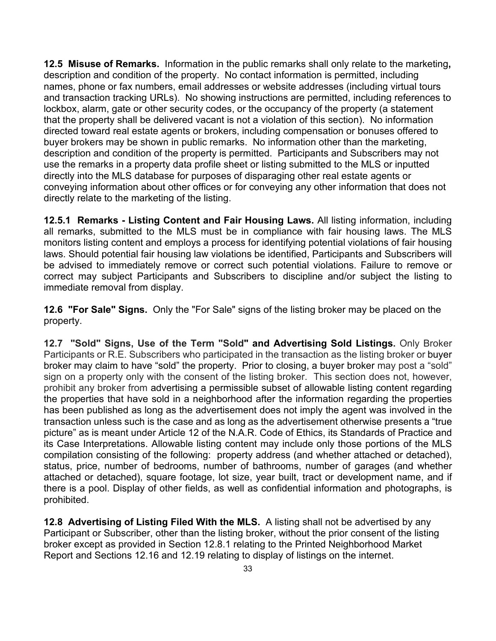**12.5 Misuse of Remarks.** Information in the public remarks shall only relate to the marketing**,**  description and condition of the property. No contact information is permitted, including names, phone or fax numbers, email addresses or website addresses (including virtual tours and transaction tracking URLs). No showing instructions are permitted, including references to lockbox, alarm, gate or other security codes, or the occupancy of the property (a statement that the property shall be delivered vacant is not a violation of this section). No information directed toward real estate agents or brokers, including compensation or bonuses offered to buyer brokers may be shown in public remarks. No information other than the marketing, description and condition of the property is permitted. Participants and Subscribers may not use the remarks in a property data profile sheet or listing submitted to the MLS or inputted directly into the MLS database for purposes of disparaging other real estate agents or conveying information about other offices or for conveying any other information that does not directly relate to the marketing of the listing.

**12.5.1 Remarks - Listing Content and Fair Housing Laws.** All listing information, including all remarks, submitted to the MLS must be in compliance with fair housing laws. The MLS monitors listing content and employs a process for identifying potential violations of fair housing laws. Should potential fair housing law violations be identified, Participants and Subscribers will be advised to immediately remove or correct such potential violations. Failure to remove or correct may subject Participants and Subscribers to discipline and/or subject the listing to immediate removal from display.

**12.6 "For Sale" Signs.** Only the "For Sale" signs of the listing broker may be placed on the property.

**12.7 "Sold" Signs, Use of the Term "Sold" and Advertising Sold Listings.** Only Broker Participants or R.E. Subscribers who participated in the transaction as the listing broker or buyer broker may claim to have "sold" the property. Prior to closing, a buyer broker may post a "sold" sign on a property only with the consent of the listing broker. This section does not, however, prohibit any broker from advertising a permissible subset of allowable listing content regarding the properties that have sold in a neighborhood after the information regarding the properties has been published as long as the advertisement does not imply the agent was involved in the transaction unless such is the case and as long as the advertisement otherwise presents a "true picture" as is meant under Article 12 of the N.A.R. Code of Ethics, its Standards of Practice and its Case Interpretations. Allowable listing content may include only those portions of the MLS compilation consisting of the following: property address (and whether attached or detached), status, price, number of bedrooms, number of bathrooms, number of garages (and whether attached or detached), square footage, lot size, year built, tract or development name, and if there is a pool. Display of other fields, as well as confidential information and photographs, is prohibited.

**12.8 Advertising of Listing Filed With the MLS.** A listing shall not be advertised by any Participant or Subscriber, other than the listing broker, without the prior consent of the listing broker except as provided in Section 12.8.1 relating to the Printed Neighborhood Market Report and Sections 12.16 and 12.19 relating to display of listings on the internet.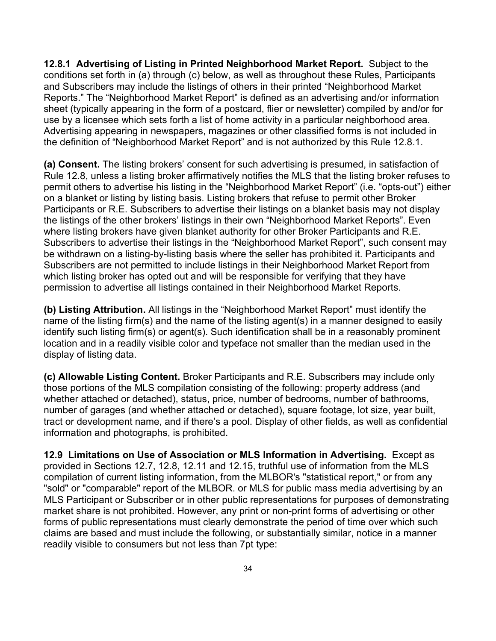**12.8.1 Advertising of Listing in Printed Neighborhood Market Report.** Subject to the conditions set forth in (a) through (c) below, as well as throughout these Rules, Participants and Subscribers may include the listings of others in their printed "Neighborhood Market Reports." The "Neighborhood Market Report" is defined as an advertising and/or information sheet (typically appearing in the form of a postcard, flier or newsletter) compiled by and/or for use by a licensee which sets forth a list of home activity in a particular neighborhood area. Advertising appearing in newspapers, magazines or other classified forms is not included in the definition of "Neighborhood Market Report" and is not authorized by this Rule 12.8.1.

**(a) Consent.** The listing brokers' consent for such advertising is presumed, in satisfaction of Rule 12.8, unless a listing broker affirmatively notifies the MLS that the listing broker refuses to permit others to advertise his listing in the "Neighborhood Market Report" (i.e. "opts-out") either on a blanket or listing by listing basis. Listing brokers that refuse to permit other Broker Participants or R.E. Subscribers to advertise their listings on a blanket basis may not display the listings of the other brokers' listings in their own "Neighborhood Market Reports". Even where listing brokers have given blanket authority for other Broker Participants and R.E. Subscribers to advertise their listings in the "Neighborhood Market Report", such consent may be withdrawn on a listing-by-listing basis where the seller has prohibited it. Participants and Subscribers are not permitted to include listings in their Neighborhood Market Report from which listing broker has opted out and will be responsible for verifying that they have permission to advertise all listings contained in their Neighborhood Market Reports.

**(b) Listing Attribution.** All listings in the "Neighborhood Market Report" must identify the name of the listing firm(s) and the name of the listing agent(s) in a manner designed to easily identify such listing firm(s) or agent(s). Such identification shall be in a reasonably prominent location and in a readily visible color and typeface not smaller than the median used in the display of listing data.

**(c) Allowable Listing Content.** Broker Participants and R.E. Subscribers may include only those portions of the MLS compilation consisting of the following: property address (and whether attached or detached), status, price, number of bedrooms, number of bathrooms, number of garages (and whether attached or detached), square footage, lot size, year built, tract or development name, and if there's a pool. Display of other fields, as well as confidential information and photographs, is prohibited.

**12.9 Limitations on Use of Association or MLS Information in Advertising.** Except as provided in Sections 12.7, 12.8, 12.11 and 12.15, truthful use of information from the MLS compilation of current listing information, from the MLBOR's "statistical report," or from any "sold" or "comparable" report of the MLBOR. or MLS for public mass media advertising by an MLS Participant or Subscriber or in other public representations for purposes of demonstrating market share is not prohibited. However, any print or non-print forms of advertising or other forms of public representations must clearly demonstrate the period of time over which such claims are based and must include the following, or substantially similar, notice in a manner readily visible to consumers but not less than 7pt type: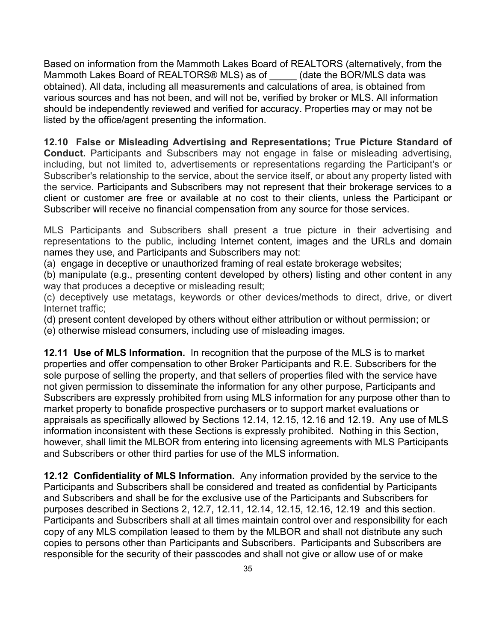Based on information from the Mammoth Lakes Board of REALTORS (alternatively, from the Mammoth Lakes Board of REALTORS® MLS) as of (date the BOR/MLS data was obtained). All data, including all measurements and calculations of area, is obtained from various sources and has not been, and will not be, verified by broker or MLS. All information should be independently reviewed and verified for accuracy. Properties may or may not be listed by the office/agent presenting the information.

#### **12.10 False or Misleading Advertising and Representations; True Picture Standard of**

**Conduct.** Participants and Subscribers may not engage in false or misleading advertising, including, but not limited to, advertisements or representations regarding the Participant's or Subscriber's relationship to the service, about the service itself, or about any property listed with the service. Participants and Subscribers may not represent that their brokerage services to a client or customer are free or available at no cost to their clients, unless the Participant or Subscriber will receive no financial compensation from any source for those services.

MLS Participants and Subscribers shall present a true picture in their advertising and representations to the public, including Internet content, images and the URLs and domain names they use, and Participants and Subscribers may not:

(a) engage in deceptive or unauthorized framing of real estate brokerage websites;

(b) manipulate (e.g., presenting content developed by others) listing and other content in any way that produces a deceptive or misleading result;

(c) deceptively use metatags, keywords or other devices/methods to direct, drive, or divert Internet traffic;

(d) present content developed by others without either attribution or without permission; or

(e) otherwise mislead consumers, including use of misleading images.

**12.11 Use of MLS Information.** In recognition that the purpose of the MLS is to market properties and offer compensation to other Broker Participants and R.E. Subscribers for the sole purpose of selling the property, and that sellers of properties filed with the service have not given permission to disseminate the information for any other purpose, Participants and Subscribers are expressly prohibited from using MLS information for any purpose other than to market property to bonafide prospective purchasers or to support market evaluations or appraisals as specifically allowed by Sections 12.14, 12.15, 12.16 and 12.19. Any use of MLS information inconsistent with these Sections is expressly prohibited. Nothing in this Section, however, shall limit the MLBOR from entering into licensing agreements with MLS Participants and Subscribers or other third parties for use of the MLS information.

**12.12 Confidentiality of MLS Information.** Any information provided by the service to the Participants and Subscribers shall be considered and treated as confidential by Participants and Subscribers and shall be for the exclusive use of the Participants and Subscribers for purposes described in Sections 2, 12.7, 12.11, 12.14, 12.15, 12.16, 12.19 and this section. Participants and Subscribers shall at all times maintain control over and responsibility for each copy of any MLS compilation leased to them by the MLBOR and shall not distribute any such copies to persons other than Participants and Subscribers. Participants and Subscribers are responsible for the security of their passcodes and shall not give or allow use of or make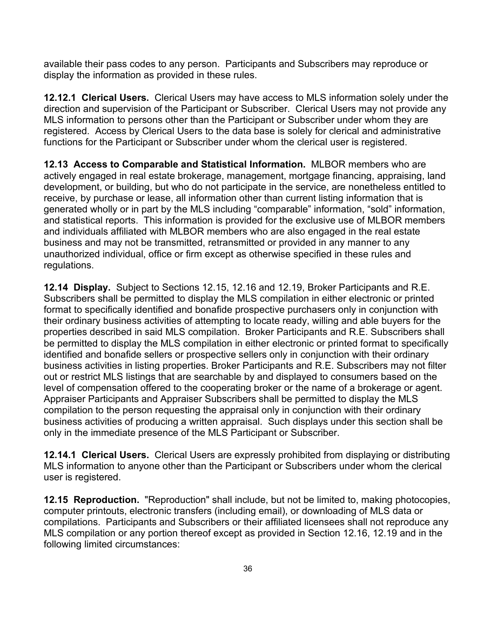available their pass codes to any person. Participants and Subscribers may reproduce or display the information as provided in these rules.

**12.12.1 Clerical Users.** Clerical Users may have access to MLS information solely under the direction and supervision of the Participant or Subscriber. Clerical Users may not provide any MLS information to persons other than the Participant or Subscriber under whom they are registered. Access by Clerical Users to the data base is solely for clerical and administrative functions for the Participant or Subscriber under whom the clerical user is registered.

**12.13 Access to Comparable and Statistical Information.** MLBOR members who are actively engaged in real estate brokerage, management, mortgage financing, appraising, land development, or building, but who do not participate in the service, are nonetheless entitled to receive, by purchase or lease, all information other than current listing information that is generated wholly or in part by the MLS including "comparable" information, "sold" information, and statistical reports. This information is provided for the exclusive use of MLBOR members and individuals affiliated with MLBOR members who are also engaged in the real estate business and may not be transmitted, retransmitted or provided in any manner to any unauthorized individual, office or firm except as otherwise specified in these rules and regulations.

**12.14 Display.** Subject to Sections 12.15, 12.16 and 12.19, Broker Participants and R.E. Subscribers shall be permitted to display the MLS compilation in either electronic or printed format to specifically identified and bonafide prospective purchasers only in conjunction with their ordinary business activities of attempting to locate ready, willing and able buyers for the properties described in said MLS compilation. Broker Participants and R.E. Subscribers shall be permitted to display the MLS compilation in either electronic or printed format to specifically identified and bonafide sellers or prospective sellers only in conjunction with their ordinary business activities in listing properties. Broker Participants and R.E. Subscribers may not filter out or restrict MLS listings that are searchable by and displayed to consumers based on the level of compensation offered to the cooperating broker or the name of a brokerage or agent. Appraiser Participants and Appraiser Subscribers shall be permitted to display the MLS compilation to the person requesting the appraisal only in conjunction with their ordinary business activities of producing a written appraisal. Such displays under this section shall be only in the immediate presence of the MLS Participant or Subscriber.

**12.14.1 Clerical Users.** Clerical Users are expressly prohibited from displaying or distributing MLS information to anyone other than the Participant or Subscribers under whom the clerical user is registered.

**12.15 Reproduction.** "Reproduction" shall include, but not be limited to, making photocopies, computer printouts, electronic transfers (including email), or downloading of MLS data or compilations. Participants and Subscribers or their affiliated licensees shall not reproduce any MLS compilation or any portion thereof except as provided in Section 12.16, 12.19 and in the following limited circumstances: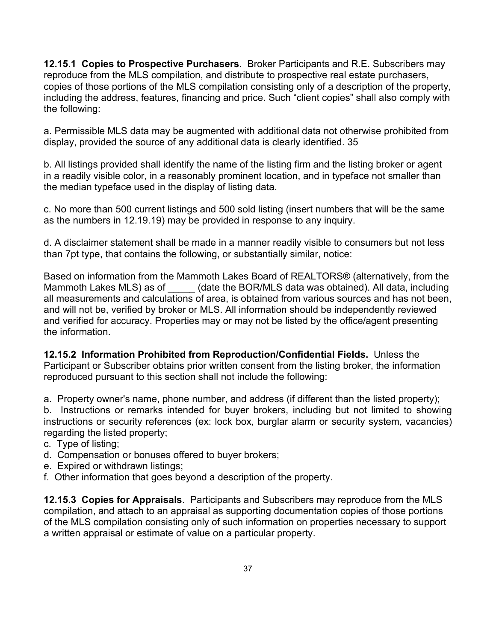**12.15.1 Copies to Prospective Purchasers**. Broker Participants and R.E. Subscribers may reproduce from the MLS compilation, and distribute to prospective real estate purchasers, copies of those portions of the MLS compilation consisting only of a description of the property, including the address, features, financing and price. Such "client copies" shall also comply with the following:

a. Permissible MLS data may be augmented with additional data not otherwise prohibited from display, provided the source of any additional data is clearly identified. 35

b. All listings provided shall identify the name of the listing firm and the listing broker or agent in a readily visible color, in a reasonably prominent location, and in typeface not smaller than the median typeface used in the display of listing data.

c. No more than 500 current listings and 500 sold listing (insert numbers that will be the same as the numbers in 12.19.19) may be provided in response to any inquiry.

d. A disclaimer statement shall be made in a manner readily visible to consumers but not less than 7pt type, that contains the following, or substantially similar, notice:

Based on information from the Mammoth Lakes Board of REALTORS® (alternatively, from the Mammoth Lakes MLS) as of (date the BOR/MLS data was obtained). All data, including all measurements and calculations of area, is obtained from various sources and has not been, and will not be, verified by broker or MLS. All information should be independently reviewed and verified for accuracy. Properties may or may not be listed by the office/agent presenting the information.

**12.15.2 Information Prohibited from Reproduction/Confidential Fields.** Unless the Participant or Subscriber obtains prior written consent from the listing broker, the information reproduced pursuant to this section shall not include the following:

a. Property owner's name, phone number, and address (if different than the listed property);

b. Instructions or remarks intended for buyer brokers, including but not limited to showing instructions or security references (ex: lock box, burglar alarm or security system, vacancies) regarding the listed property;

- c. Type of listing;
- d. Compensation or bonuses offered to buyer brokers;
- e. Expired or withdrawn listings;
- f. Other information that goes beyond a description of the property.

**12.15.3 Copies for Appraisals**. Participants and Subscribers may reproduce from the MLS compilation, and attach to an appraisal as supporting documentation copies of those portions of the MLS compilation consisting only of such information on properties necessary to support a written appraisal or estimate of value on a particular property.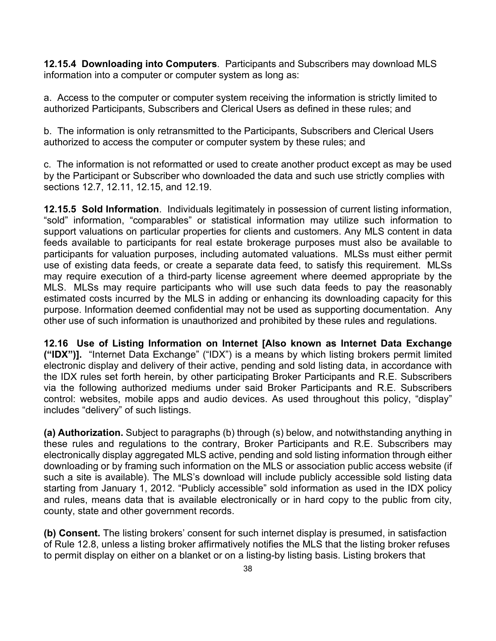**12.15.4 Downloading into Computers**. Participants and Subscribers may download MLS information into a computer or computer system as long as:

a. Access to the computer or computer system receiving the information is strictly limited to authorized Participants, Subscribers and Clerical Users as defined in these rules; and

b. The information is only retransmitted to the Participants, Subscribers and Clerical Users authorized to access the computer or computer system by these rules; and

c. The information is not reformatted or used to create another product except as may be used by the Participant or Subscriber who downloaded the data and such use strictly complies with sections 12.7, 12.11, 12.15, and 12.19.

**12.15.5 Sold Information**. Individuals legitimately in possession of current listing information, "sold" information, "comparables" or statistical information may utilize such information to support valuations on particular properties for clients and customers. Any MLS content in data feeds available to participants for real estate brokerage purposes must also be available to participants for valuation purposes, including automated valuations. MLSs must either permit use of existing data feeds, or create a separate data feed, to satisfy this requirement. MLSs may require execution of a third-party license agreement where deemed appropriate by the MLS. MLSs may require participants who will use such data feeds to pay the reasonably estimated costs incurred by the MLS in adding or enhancing its downloading capacity for this purpose. Information deemed confidential may not be used as supporting documentation. Any other use of such information is unauthorized and prohibited by these rules and regulations.

**12.16 Use of Listing Information on Internet [Also known as Internet Data Exchange ("IDX")].** "Internet Data Exchange" ("IDX") is a means by which listing brokers permit limited electronic display and delivery of their active, pending and sold listing data, in accordance with the IDX rules set forth herein, by other participating Broker Participants and R.E. Subscribers via the following authorized mediums under said Broker Participants and R.E. Subscribers control: websites, mobile apps and audio devices. As used throughout this policy, "display" includes "delivery" of such listings.

**(a) Authorization.** Subject to paragraphs (b) through (s) below, and notwithstanding anything in these rules and regulations to the contrary, Broker Participants and R.E. Subscribers may electronically display aggregated MLS active, pending and sold listing information through either downloading or by framing such information on the MLS or association public access website (if such a site is available). The MLS's download will include publicly accessible sold listing data starting from January 1, 2012. "Publicly accessible" sold information as used in the IDX policy and rules, means data that is available electronically or in hard copy to the public from city, county, state and other government records.

**(b) Consent.** The listing brokers' consent for such internet display is presumed, in satisfaction of Rule 12.8, unless a listing broker affirmatively notifies the MLS that the listing broker refuses to permit display on either on a blanket or on a listing-by listing basis. Listing brokers that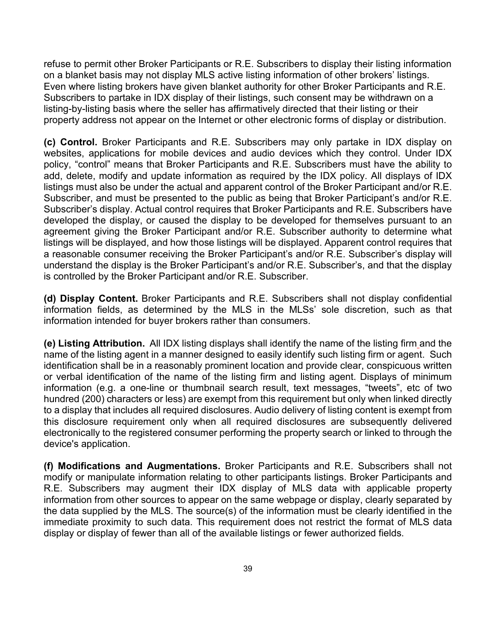refuse to permit other Broker Participants or R.E. Subscribers to display their listing information on a blanket basis may not display MLS active listing information of other brokers' listings. Even where listing brokers have given blanket authority for other Broker Participants and R.E. Subscribers to partake in IDX display of their listings, such consent may be withdrawn on a listing-by-listing basis where the seller has affirmatively directed that their listing or their property address not appear on the Internet or other electronic forms of display or distribution.

**(c) Control.** Broker Participants and R.E. Subscribers may only partake in IDX display on websites, applications for mobile devices and audio devices which they control. Under IDX policy, "control" means that Broker Participants and R.E. Subscribers must have the ability to add, delete, modify and update information as required by the IDX policy. All displays of IDX listings must also be under the actual and apparent control of the Broker Participant and/or R.E. Subscriber, and must be presented to the public as being that Broker Participant's and/or R.E. Subscriber's display. Actual control requires that Broker Participants and R.E. Subscribers have developed the display, or caused the display to be developed for themselves pursuant to an agreement giving the Broker Participant and/or R.E. Subscriber authority to determine what listings will be displayed, and how those listings will be displayed. Apparent control requires that a reasonable consumer receiving the Broker Participant's and/or R.E. Subscriber's display will understand the display is the Broker Participant's and/or R.E. Subscriber's, and that the display is controlled by the Broker Participant and/or R.E. Subscriber.

**(d) Display Content.** Broker Participants and R.E. Subscribers shall not display confidential information fields, as determined by the MLS in the MLSs' sole discretion, such as that information intended for buyer brokers rather than consumers.

**(e) Listing Attribution.** All IDX listing displays shall identify the name of the listing firm and the name of the listing agent in a manner designed to easily identify such listing firm or agent. Such identification shall be in a reasonably prominent location and provide clear, conspicuous written or verbal identification of the name of the listing firm and listing agent. Displays of minimum information (e.g. a one-line or thumbnail search result, text messages, "tweets", etc of two hundred (200) characters or less) are exempt from this requirement but only when linked directly to a display that includes all required disclosures. Audio delivery of listing content is exempt from this disclosure requirement only when all required disclosures are subsequently delivered electronically to the registered consumer performing the property search or linked to through the device's application.

**(f) Modifications and Augmentations.** Broker Participants and R.E. Subscribers shall not modify or manipulate information relating to other participants listings. Broker Participants and R.E. Subscribers may augment their IDX display of MLS data with applicable property information from other sources to appear on the same webpage or display, clearly separated by the data supplied by the MLS. The source(s) of the information must be clearly identified in the immediate proximity to such data. This requirement does not restrict the format of MLS data display or display of fewer than all of the available listings or fewer authorized fields.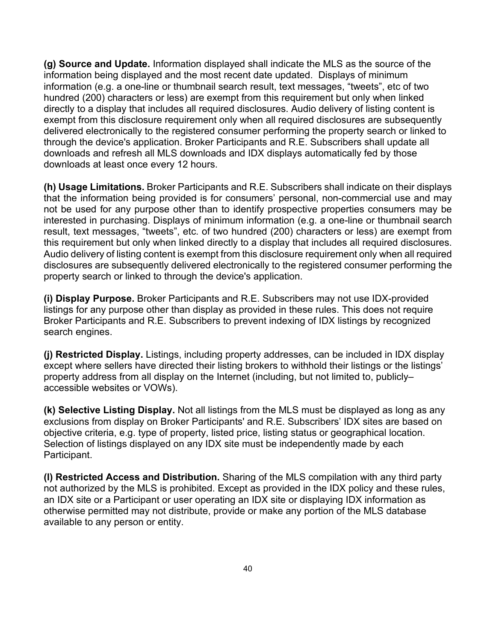**(g) Source and Update.** Information displayed shall indicate the MLS as the source of the information being displayed and the most recent date updated. Displays of minimum information (e.g. a one-line or thumbnail search result, text messages, "tweets", etc of two hundred (200) characters or less) are exempt from this requirement but only when linked directly to a display that includes all required disclosures. Audio delivery of listing content is exempt from this disclosure requirement only when all required disclosures are subsequently delivered electronically to the registered consumer performing the property search or linked to through the device's application. Broker Participants and R.E. Subscribers shall update all downloads and refresh all MLS downloads and IDX displays automatically fed by those downloads at least once every 12 hours.

**(h) Usage Limitations.** Broker Participants and R.E. Subscribers shall indicate on their displays that the information being provided is for consumers' personal, non-commercial use and may not be used for any purpose other than to identify prospective properties consumers may be interested in purchasing. Displays of minimum information (e.g. a one-line or thumbnail search result, text messages, "tweets", etc. of two hundred (200) characters or less) are exempt from this requirement but only when linked directly to a display that includes all required disclosures. Audio delivery of listing content is exempt from this disclosure requirement only when all required disclosures are subsequently delivered electronically to the registered consumer performing the property search or linked to through the device's application.

**(i) Display Purpose.** Broker Participants and R.E. Subscribers may not use IDX-provided listings for any purpose other than display as provided in these rules. This does not require Broker Participants and R.E. Subscribers to prevent indexing of IDX listings by recognized search engines.

**(j) Restricted Display.** Listings, including property addresses, can be included in IDX display except where sellers have directed their listing brokers to withhold their listings or the listings' property address from all display on the Internet (including, but not limited to, publicly– accessible websites or VOWs).

**(k) Selective Listing Display.** Not all listings from the MLS must be displayed as long as any exclusions from display on Broker Participants' and R.E. Subscribers' IDX sites are based on objective criteria, e.g. type of property, listed price, listing status or geographical location. Selection of listings displayed on any IDX site must be independently made by each Participant.

**(l) Restricted Access and Distribution.** Sharing of the MLS compilation with any third party not authorized by the MLS is prohibited. Except as provided in the IDX policy and these rules, an IDX site or a Participant or user operating an IDX site or displaying IDX information as otherwise permitted may not distribute, provide or make any portion of the MLS database available to any person or entity.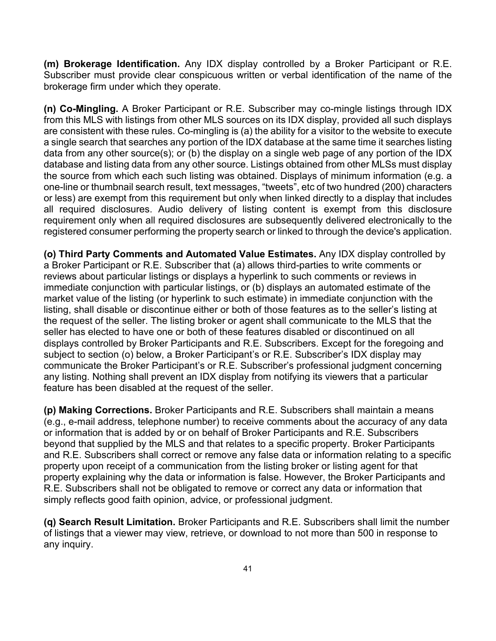**(m) Brokerage Identification.** Any IDX display controlled by a Broker Participant or R.E. Subscriber must provide clear conspicuous written or verbal identification of the name of the brokerage firm under which they operate.

**(n) Co-Mingling.** A Broker Participant or R.E. Subscriber may co-mingle listings through IDX from this MLS with listings from other MLS sources on its IDX display, provided all such displays are consistent with these rules. Co-mingling is (a) the ability for a visitor to the website to execute a single search that searches any portion of the IDX database at the same time it searches listing data from any other source(s); or (b) the display on a single web page of any portion of the IDX database and listing data from any other source. Listings obtained from other MLSs must display the source from which each such listing was obtained. Displays of minimum information (e.g. a one-line or thumbnail search result, text messages, "tweets", etc of two hundred (200) characters or less) are exempt from this requirement but only when linked directly to a display that includes all required disclosures. Audio delivery of listing content is exempt from this disclosure requirement only when all required disclosures are subsequently delivered electronically to the registered consumer performing the property search or linked to through the device's application.

**(o) Third Party Comments and Automated Value Estimates.** Any IDX display controlled by a Broker Participant or R.E. Subscriber that (a) allows third-parties to write comments or reviews about particular listings or displays a hyperlink to such comments or reviews in immediate conjunction with particular listings, or (b) displays an automated estimate of the market value of the listing (or hyperlink to such estimate) in immediate conjunction with the listing, shall disable or discontinue either or both of those features as to the seller's listing at the request of the seller. The listing broker or agent shall communicate to the MLS that the seller has elected to have one or both of these features disabled or discontinued on all displays controlled by Broker Participants and R.E. Subscribers. Except for the foregoing and subject to section (o) below, a Broker Participant's or R.E. Subscriber's IDX display may communicate the Broker Participant's or R.E. Subscriber's professional judgment concerning any listing. Nothing shall prevent an IDX display from notifying its viewers that a particular feature has been disabled at the request of the seller.

**(p) Making Corrections.** Broker Participants and R.E. Subscribers shall maintain a means (e.g., e-mail address, telephone number) to receive comments about the accuracy of any data or information that is added by or on behalf of Broker Participants and R.E. Subscribers beyond that supplied by the MLS and that relates to a specific property. Broker Participants and R.E. Subscribers shall correct or remove any false data or information relating to a specific property upon receipt of a communication from the listing broker or listing agent for that property explaining why the data or information is false. However, the Broker Participants and R.E. Subscribers shall not be obligated to remove or correct any data or information that simply reflects good faith opinion, advice, or professional judgment.

**(q) Search Result Limitation.** Broker Participants and R.E. Subscribers shall limit the number of listings that a viewer may view, retrieve, or download to not more than 500 in response to any inquiry.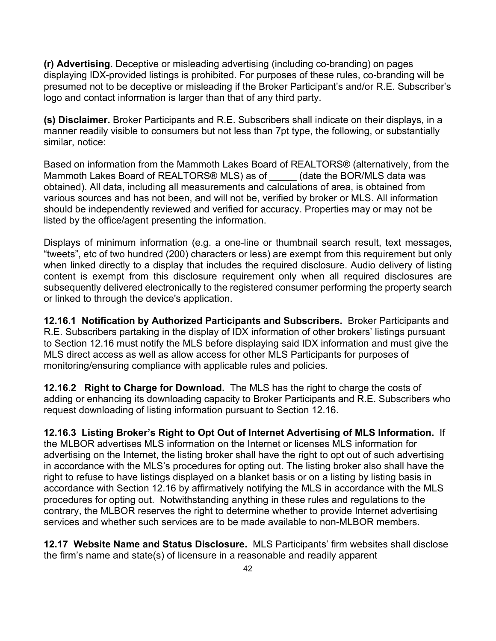**(r) Advertising.** Deceptive or misleading advertising (including co-branding) on pages displaying IDX-provided listings is prohibited. For purposes of these rules, co-branding will be presumed not to be deceptive or misleading if the Broker Participant's and/or R.E. Subscriber's logo and contact information is larger than that of any third party.

**(s) Disclaimer.** Broker Participants and R.E. Subscribers shall indicate on their displays, in a manner readily visible to consumers but not less than 7pt type, the following, or substantially similar, notice:

Based on information from the Mammoth Lakes Board of REALTORS® (alternatively, from the Mammoth Lakes Board of REALTORS® MLS) as of \_\_\_\_\_ (date the BOR/MLS data was obtained). All data, including all measurements and calculations of area, is obtained from various sources and has not been, and will not be, verified by broker or MLS. All information should be independently reviewed and verified for accuracy. Properties may or may not be listed by the office/agent presenting the information.

Displays of minimum information (e.g. a one-line or thumbnail search result, text messages, "tweets", etc of two hundred (200) characters or less) are exempt from this requirement but only when linked directly to a display that includes the required disclosure. Audio delivery of listing content is exempt from this disclosure requirement only when all required disclosures are subsequently delivered electronically to the registered consumer performing the property search or linked to through the device's application.

**12.16.1 Notification by Authorized Participants and Subscribers.** Broker Participants and R.E. Subscribers partaking in the display of IDX information of other brokers' listings pursuant to Section 12.16 must notify the MLS before displaying said IDX information and must give the MLS direct access as well as allow access for other MLS Participants for purposes of monitoring/ensuring compliance with applicable rules and policies.

**12.16.2 Right to Charge for Download.** The MLS has the right to charge the costs of adding or enhancing its downloading capacity to Broker Participants and R.E. Subscribers who request downloading of listing information pursuant to Section 12.16.

**12.16.3 Listing Broker's Right to Opt Out of Internet Advertising of MLS Information.** If the MLBOR advertises MLS information on the Internet or licenses MLS information for advertising on the Internet, the listing broker shall have the right to opt out of such advertising in accordance with the MLS's procedures for opting out. The listing broker also shall have the right to refuse to have listings displayed on a blanket basis or on a listing by listing basis in accordance with Section 12.16 by affirmatively notifying the MLS in accordance with the MLS procedures for opting out. Notwithstanding anything in these rules and regulations to the contrary, the MLBOR reserves the right to determine whether to provide Internet advertising services and whether such services are to be made available to non-MLBOR members.

**12.17 Website Name and Status Disclosure.** MLS Participants' firm websites shall disclose the firm's name and state(s) of licensure in a reasonable and readily apparent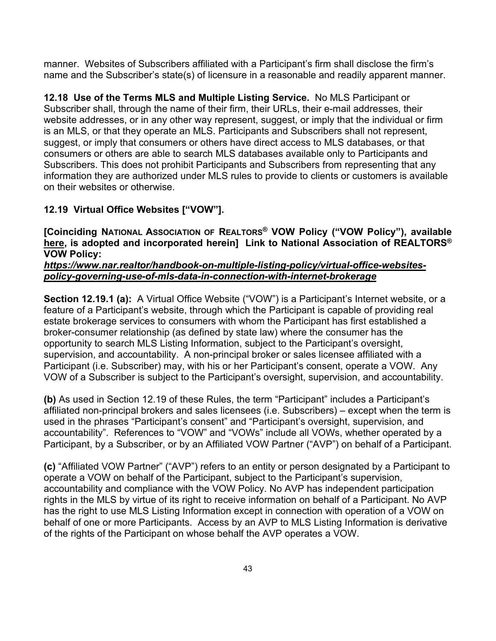manner. Websites of Subscribers affiliated with a Participant's firm shall disclose the firm's name and the Subscriber's state(s) of licensure in a reasonable and readily apparent manner.

**12.18 Use of the Terms MLS and Multiple Listing Service.** No MLS Participant or Subscriber shall, through the name of their firm, their URLs, their e-mail addresses, their website addresses, or in any other way represent, suggest, or imply that the individual or firm is an MLS, or that they operate an MLS. Participants and Subscribers shall not represent, suggest, or imply that consumers or others have direct access to MLS databases, or that consumers or others are able to search MLS databases available only to Participants and Subscribers. This does not prohibit Participants and Subscribers from representing that any information they are authorized under MLS rules to provide to clients or customers is available on their websites or otherwise.

## **12.19 Virtual Office Websites ["VOW"].**

**[Coinciding NATIONAL ASSOCIATION OF REALTORS® VOW Policy ("VOW Policy"), available [here,](https://www.nar.realtor/handbook-on-multiple-listing-policy/virtual-office-websites-policy-governing-use-of-mls-data-in-connection-with-internet-brokerage) is adopted and incorporated herein] Link to National Association of REALTORS® VOW Policy:** 

#### *[https://www.nar.realtor/handbook-on-multiple-listing-policy/virtual-office-websites](https://www.nar.realtor/handbook-on-multiple-listing-policy/virtual-office-websites-policy-governing-use-of-mls-data-in-connection-with-internet-brokerage)[policy-governing-use-of-mls-data-in-connection-with-internet-brokerage](https://www.nar.realtor/handbook-on-multiple-listing-policy/virtual-office-websites-policy-governing-use-of-mls-data-in-connection-with-internet-brokerage)*

**Section 12.19.1 (a):** A Virtual Office Website ("VOW") is a Participant's Internet website, or a feature of a Participant's website, through which the Participant is capable of providing real estate brokerage services to consumers with whom the Participant has first established a broker-consumer relationship (as defined by state law) where the consumer has the opportunity to search MLS Listing Information, subject to the Participant's oversight, supervision, and accountability. A non-principal broker or sales licensee affiliated with a Participant (i.e. Subscriber) may, with his or her Participant's consent, operate a VOW. Any VOW of a Subscriber is subject to the Participant's oversight, supervision, and accountability.

**(b)** As used in Section 12.19 of these Rules, the term "Participant" includes a Participant's affiliated non-principal brokers and sales licensees (i.e. Subscribers) – except when the term is used in the phrases "Participant's consent" and "Participant's oversight, supervision, and accountability". References to "VOW" and "VOWs" include all VOWs, whether operated by a Participant, by a Subscriber, or by an Affiliated VOW Partner ("AVP") on behalf of a Participant.

**(c)** "Affiliated VOW Partner" ("AVP") refers to an entity or person designated by a Participant to operate a VOW on behalf of the Participant, subject to the Participant's supervision, accountability and compliance with the VOW Policy. No AVP has independent participation rights in the MLS by virtue of its right to receive information on behalf of a Participant. No AVP has the right to use MLS Listing Information except in connection with operation of a VOW on behalf of one or more Participants. Access by an AVP to MLS Listing Information is derivative of the rights of the Participant on whose behalf the AVP operates a VOW.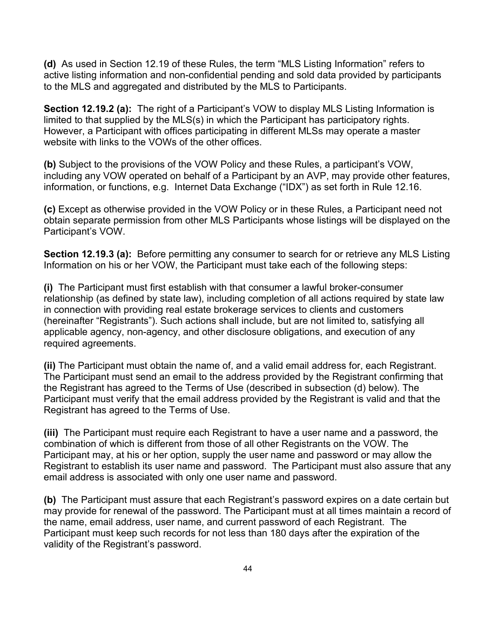**(d)** As used in Section 12.19 of these Rules, the term "MLS Listing Information" refers to active listing information and non-confidential pending and sold data provided by participants to the MLS and aggregated and distributed by the MLS to Participants.

**Section 12.19.2 (a):** The right of a Participant's VOW to display MLS Listing Information is limited to that supplied by the MLS(s) in which the Participant has participatory rights. However, a Participant with offices participating in different MLSs may operate a master website with links to the VOWs of the other offices.

**(b)** Subject to the provisions of the VOW Policy and these Rules, a participant's VOW, including any VOW operated on behalf of a Participant by an AVP, may provide other features, information, or functions, e.g. Internet Data Exchange ("IDX") as set forth in Rule 12.16.

**(c)** Except as otherwise provided in the VOW Policy or in these Rules, a Participant need not obtain separate permission from other MLS Participants whose listings will be displayed on the Participant's VOW.

**Section 12.19.3 (a):** Before permitting any consumer to search for or retrieve any MLS Listing Information on his or her VOW, the Participant must take each of the following steps:

**(i)** The Participant must first establish with that consumer a lawful broker-consumer relationship (as defined by state law), including completion of all actions required by state law in connection with providing real estate brokerage services to clients and customers (hereinafter "Registrants"). Such actions shall include, but are not limited to, satisfying all applicable agency, non-agency, and other disclosure obligations, and execution of any required agreements.

**(ii)** The Participant must obtain the name of, and a valid email address for, each Registrant. The Participant must send an email to the address provided by the Registrant confirming that the Registrant has agreed to the Terms of Use (described in subsection (d) below). The Participant must verify that the email address provided by the Registrant is valid and that the Registrant has agreed to the Terms of Use.

**(iii)** The Participant must require each Registrant to have a user name and a password, the combination of which is different from those of all other Registrants on the VOW. The Participant may, at his or her option, supply the user name and password or may allow the Registrant to establish its user name and password. The Participant must also assure that any email address is associated with only one user name and password.

**(b)** The Participant must assure that each Registrant's password expires on a date certain but may provide for renewal of the password. The Participant must at all times maintain a record of the name, email address, user name, and current password of each Registrant. The Participant must keep such records for not less than 180 days after the expiration of the validity of the Registrant's password.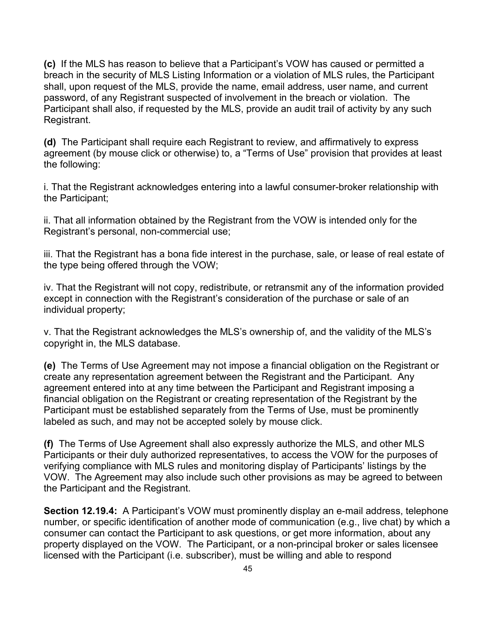**(c)** If the MLS has reason to believe that a Participant's VOW has caused or permitted a breach in the security of MLS Listing Information or a violation of MLS rules, the Participant shall, upon request of the MLS, provide the name, email address, user name, and current password, of any Registrant suspected of involvement in the breach or violation. The Participant shall also, if requested by the MLS, provide an audit trail of activity by any such Registrant.

**(d)** The Participant shall require each Registrant to review, and affirmatively to express agreement (by mouse click or otherwise) to, a "Terms of Use" provision that provides at least the following:

i. That the Registrant acknowledges entering into a lawful consumer-broker relationship with the Participant;

ii. That all information obtained by the Registrant from the VOW is intended only for the Registrant's personal, non-commercial use;

iii. That the Registrant has a bona fide interest in the purchase, sale, or lease of real estate of the type being offered through the VOW;

iv. That the Registrant will not copy, redistribute, or retransmit any of the information provided except in connection with the Registrant's consideration of the purchase or sale of an individual property;

v. That the Registrant acknowledges the MLS's ownership of, and the validity of the MLS's copyright in, the MLS database.

**(e)** The Terms of Use Agreement may not impose a financial obligation on the Registrant or create any representation agreement between the Registrant and the Participant. Any agreement entered into at any time between the Participant and Registrant imposing a financial obligation on the Registrant or creating representation of the Registrant by the Participant must be established separately from the Terms of Use, must be prominently labeled as such, and may not be accepted solely by mouse click.

**(f)** The Terms of Use Agreement shall also expressly authorize the MLS, and other MLS Participants or their duly authorized representatives, to access the VOW for the purposes of verifying compliance with MLS rules and monitoring display of Participants' listings by the VOW. The Agreement may also include such other provisions as may be agreed to between the Participant and the Registrant.

**Section 12.19.4:** A Participant's VOW must prominently display an e-mail address, telephone number, or specific identification of another mode of communication (e.g., live chat) by which a consumer can contact the Participant to ask questions, or get more information, about any property displayed on the VOW. The Participant, or a non-principal broker or sales licensee licensed with the Participant (i.e. subscriber), must be willing and able to respond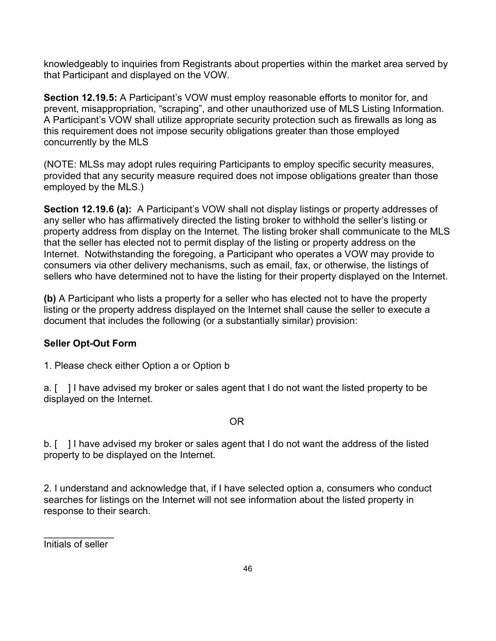knowledgeably to inquiries from Registrants about properties within the market area served by that Participant and displayed on the VOW.

**Section 12.19.5:** A Participant's VOW must employ reasonable efforts to monitor for, and prevent, misappropriation, "scraping", and other unauthorized use of MLS Listing Information. A Participant's VOW shall utilize appropriate security protection such as firewalls as long as this requirement does not impose security obligations greater than those employed concurrently by the MLS

(NOTE: MLSs may adopt rules requiring Participants to employ specific security measures, provided that any security measure required does not impose obligations greater than those employed by the MLS.)

**Section 12.19.6 (a):** A Participant's VOW shall not display listings or property addresses of any seller who has affirmatively directed the listing broker to withhold the seller's listing or property address from display on the Internet. The listing broker shall communicate to the MLS that the seller has elected not to permit display of the listing or property address on the Internet. Notwithstanding the foregoing, a Participant who operates a VOW may provide to consumers via other delivery mechanisms, such as email, fax, or otherwise, the listings of sellers who have determined not to have the listing for their property displayed on the Internet.

**(b)** A Participant who lists a property for a seller who has elected not to have the property listing or the property address displayed on the Internet shall cause the seller to execute a document that includes the following (or a substantially similar) provision:

## **Seller Opt-Out Form**

1. Please check either Option a or Option b

a. [ ] I have advised my broker or sales agent that I do not want the listed property to be displayed on the Internet.

#### **OR** Service Service Service Service Service Service Service Service Service Service Service Service Service Service

b. [ ] I have advised my broker or sales agent that I do not want the address of the listed property to be displayed on the Internet.

2. I understand and acknowledge that, if I have selected option a, consumers who conduct searches for listings on the Internet will not see information about the listed property in response to their search.

 $\overline{\phantom{a}}$ Initials of seller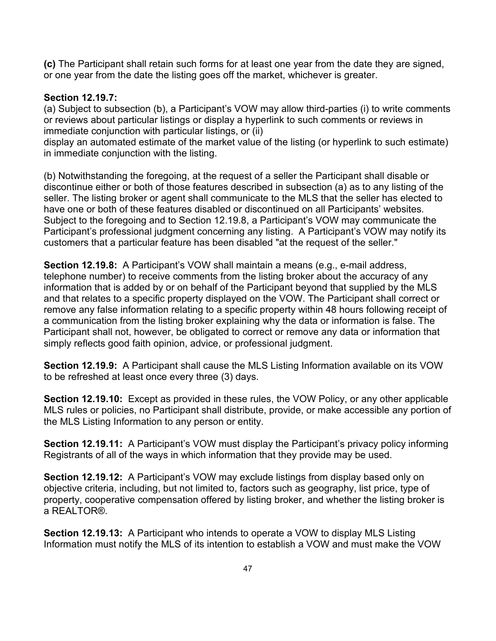**(c)** The Participant shall retain such forms for at least one year from the date they are signed, or one year from the date the listing goes off the market, whichever is greater.

#### **Section 12.19.7:**

(a) Subject to subsection (b), a Participant's VOW may allow third-parties (i) to write comments or reviews about particular listings or display a hyperlink to such comments or reviews in immediate conjunction with particular listings, or (ii)

display an automated estimate of the market value of the listing (or hyperlink to such estimate) in immediate conjunction with the listing.

(b) Notwithstanding the foregoing, at the request of a seller the Participant shall disable or discontinue either or both of those features described in subsection (a) as to any listing of the seller. The listing broker or agent shall communicate to the MLS that the seller has elected to have one or both of these features disabled or discontinued on all Participants' websites. Subject to the foregoing and to Section 12.19.8, a Participant's VOW may communicate the Participant's professional judgment concerning any listing. A Participant's VOW may notify its customers that a particular feature has been disabled "at the request of the seller."

**Section 12.19.8:** A Participant's VOW shall maintain a means (e.g., e-mail address, telephone number) to receive comments from the listing broker about the accuracy of any information that is added by or on behalf of the Participant beyond that supplied by the MLS and that relates to a specific property displayed on the VOW. The Participant shall correct or remove any false information relating to a specific property within 48 hours following receipt of a communication from the listing broker explaining why the data or information is false. The Participant shall not, however, be obligated to correct or remove any data or information that simply reflects good faith opinion, advice, or professional judgment.

**Section 12.19.9:** A Participant shall cause the MLS Listing Information available on its VOW to be refreshed at least once every three (3) days.

**Section 12.19.10:** Except as provided in these rules, the VOW Policy, or any other applicable MLS rules or policies, no Participant shall distribute, provide, or make accessible any portion of the MLS Listing Information to any person or entity.

**Section 12.19.11:** A Participant's VOW must display the Participant's privacy policy informing Registrants of all of the ways in which information that they provide may be used.

**Section 12.19.12:** A Participant's VOW may exclude listings from display based only on objective criteria, including, but not limited to, factors such as geography, list price, type of property, cooperative compensation offered by listing broker, and whether the listing broker is a REALTOR®.

**Section 12.19.13:** A Participant who intends to operate a VOW to display MLS Listing Information must notify the MLS of its intention to establish a VOW and must make the VOW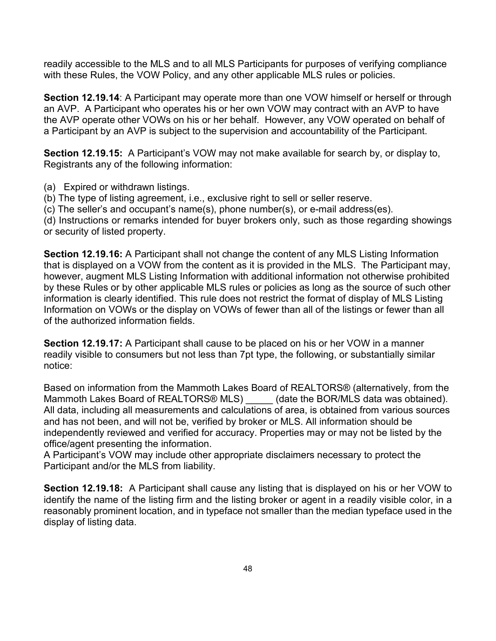readily accessible to the MLS and to all MLS Participants for purposes of verifying compliance with these Rules, the VOW Policy, and any other applicable MLS rules or policies.

**Section 12.19.14**: A Participant may operate more than one VOW himself or herself or through an AVP. A Participant who operates his or her own VOW may contract with an AVP to have the AVP operate other VOWs on his or her behalf. However, any VOW operated on behalf of a Participant by an AVP is subject to the supervision and accountability of the Participant.

**Section 12.19.15:** A Participant's VOW may not make available for search by, or display to, Registrants any of the following information:

(a) Expired or withdrawn listings.

(b) The type of listing agreement, i.e., exclusive right to sell or seller reserve.

(c) The seller's and occupant's name(s), phone number(s), or e-mail address(es).

(d) Instructions or remarks intended for buyer brokers only, such as those regarding showings or security of listed property.

**Section 12.19.16:** A Participant shall not change the content of any MLS Listing Information that is displayed on a VOW from the content as it is provided in the MLS. The Participant may, however, augment MLS Listing Information with additional information not otherwise prohibited by these Rules or by other applicable MLS rules or policies as long as the source of such other information is clearly identified. This rule does not restrict the format of display of MLS Listing Information on VOWs or the display on VOWs of fewer than all of the listings or fewer than all of the authorized information fields.

**Section 12.19.17:** A Participant shall cause to be placed on his or her VOW in a manner readily visible to consumers but not less than 7pt type, the following, or substantially similar notice:

Based on information from the Mammoth Lakes Board of REALTORS® (alternatively, from the Mammoth Lakes Board of REALTORS® MLS) \_\_\_\_\_ (date the BOR/MLS data was obtained). All data, including all measurements and calculations of area, is obtained from various sources and has not been, and will not be, verified by broker or MLS. All information should be independently reviewed and verified for accuracy. Properties may or may not be listed by the office/agent presenting the information.

A Participant's VOW may include other appropriate disclaimers necessary to protect the Participant and/or the MLS from liability.

**Section 12.19.18:** A Participant shall cause any listing that is displayed on his or her VOW to identify the name of the listing firm and the listing broker or agent in a readily visible color, in a reasonably prominent location, and in typeface not smaller than the median typeface used in the display of listing data.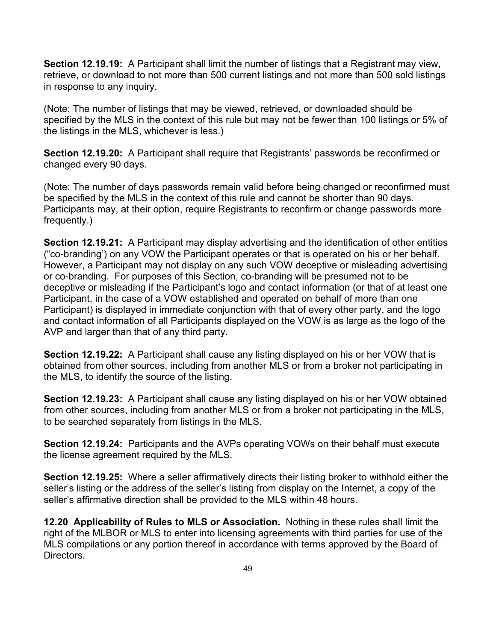**Section 12.19.19:** A Participant shall limit the number of listings that a Registrant may view, retrieve, or download to not more than 500 current listings and not more than 500 sold listings in response to any inquiry.

(Note: The number of listings that may be viewed, retrieved, or downloaded should be specified by the MLS in the context of this rule but may not be fewer than 100 listings or 5% of the listings in the MLS, whichever is less.)

**Section 12.19.20:** A Participant shall require that Registrants' passwords be reconfirmed or changed every 90 days.

(Note: The number of days passwords remain valid before being changed or reconfirmed must be specified by the MLS in the context of this rule and cannot be shorter than 90 days. Participants may, at their option, require Registrants to reconfirm or change passwords more frequently.)

**Section 12.19.21:** A Participant may display advertising and the identification of other entities ("co-branding') on any VOW the Participant operates or that is operated on his or her behalf. However, a Participant may not display on any such VOW deceptive or misleading advertising or co-branding. For purposes of this Section, co-branding will be presumed not to be deceptive or misleading if the Participant's logo and contact information (or that of at least one Participant, in the case of a VOW established and operated on behalf of more than one Participant) is displayed in immediate conjunction with that of every other party, and the logo and contact information of all Participants displayed on the VOW is as large as the logo of the AVP and larger than that of any third party.

**Section 12.19.22:** A Participant shall cause any listing displayed on his or her VOW that is obtained from other sources, including from another MLS or from a broker not participating in the MLS, to identify the source of the listing.

**Section 12.19.23:** A Participant shall cause any listing displayed on his or her VOW obtained from other sources, including from another MLS or from a broker not participating in the MLS, to be searched separately from listings in the MLS.

**Section 12.19.24:** Participants and the AVPs operating VOWs on their behalf must execute the license agreement required by the MLS.

**Section 12.19.25:** Where a seller affirmatively directs their listing broker to withhold either the seller's listing or the address of the seller's listing from display on the Internet, a copy of the seller's affirmative direction shall be provided to the MLS within 48 hours.

**12.20 Applicability of Rules to MLS or Association.** Nothing in these rules shall limit the right of the MLBOR or MLS to enter into licensing agreements with third parties for use of the MLS compilations or any portion thereof in accordance with terms approved by the Board of Directors.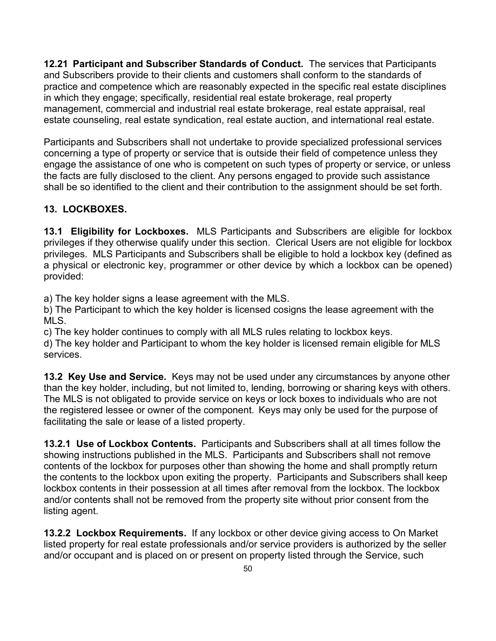**12.21 Participant and Subscriber Standards of Conduct.** The services that Participants and Subscribers provide to their clients and customers shall conform to the standards of practice and competence which are reasonably expected in the specific real estate disciplines in which they engage; specifically, residential real estate brokerage, real property management, commercial and industrial real estate brokerage, real estate appraisal, real estate counseling, real estate syndication, real estate auction, and international real estate.

Participants and Subscribers shall not undertake to provide specialized professional services concerning a type of property or service that is outside their field of competence unless they engage the assistance of one who is competent on such types of property or service, or unless the facts are fully disclosed to the client. Any persons engaged to provide such assistance shall be so identified to the client and their contribution to the assignment should be set forth.

## **13. LOCKBOXES.**

**13.1 Eligibility for Lockboxes.** MLS Participants and Subscribers are eligible for lockbox privileges if they otherwise qualify under this section. Clerical Users are not eligible for lockbox privileges. MLS Participants and Subscribers shall be eligible to hold a lockbox key (defined as a physical or electronic key, programmer or other device by which a lockbox can be opened) provided:

a) The key holder signs a lease agreement with the MLS.

b) The Participant to which the key holder is licensed cosigns the lease agreement with the MLS.

c) The key holder continues to comply with all MLS rules relating to lockbox keys.

d) The key holder and Participant to whom the key holder is licensed remain eligible for MLS services.

**13.2 Key Use and Service.** Keys may not be used under any circumstances by anyone other than the key holder, including, but not limited to, lending, borrowing or sharing keys with others. The MLS is not obligated to provide service on keys or lock boxes to individuals who are not the registered lessee or owner of the component. Keys may only be used for the purpose of facilitating the sale or lease of a listed property.

**13.2.1 Use of Lockbox Contents.** Participants and Subscribers shall at all times follow the showing instructions published in the MLS. Participants and Subscribers shall not remove contents of the lockbox for purposes other than showing the home and shall promptly return the contents to the lockbox upon exiting the property. Participants and Subscribers shall keep lockbox contents in their possession at all times after removal from the lockbox. The lockbox and/or contents shall not be removed from the property site without prior consent from the listing agent.

**13.2.2 Lockbox Requirements.** If any lockbox or other device giving access to On Market listed property for real estate professionals and/or service providers is authorized by the seller and/or occupant and is placed on or present on property listed through the Service, such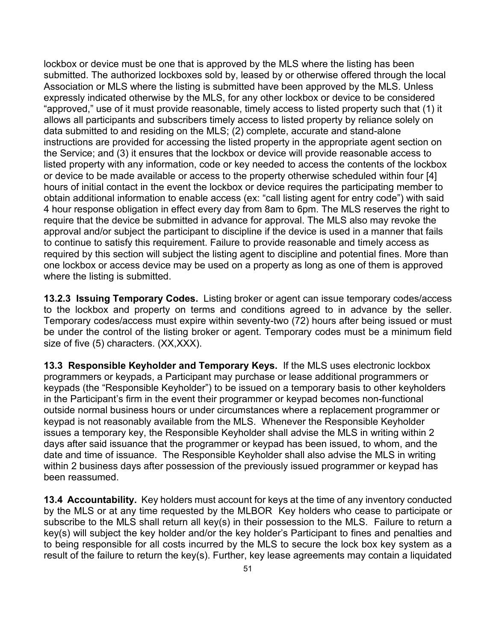lockbox or device must be one that is approved by the MLS where the listing has been submitted. The authorized lockboxes sold by, leased by or otherwise offered through the local Association or MLS where the listing is submitted have been approved by the MLS. Unless expressly indicated otherwise by the MLS, for any other lockbox or device to be considered "approved," use of it must provide reasonable, timely access to listed property such that (1) it allows all participants and subscribers timely access to listed property by reliance solely on data submitted to and residing on the MLS; (2) complete, accurate and stand-alone instructions are provided for accessing the listed property in the appropriate agent section on the Service; and (3) it ensures that the lockbox or device will provide reasonable access to listed property with any information, code or key needed to access the contents of the lockbox or device to be made available or access to the property otherwise scheduled within four [4] hours of initial contact in the event the lockbox or device requires the participating member to obtain additional information to enable access (ex: "call listing agent for entry code") with said 4 hour response obligation in effect every day from 8am to 6pm. The MLS reserves the right to require that the device be submitted in advance for approval. The MLS also may revoke the approval and/or subject the participant to discipline if the device is used in a manner that fails to continue to satisfy this requirement. Failure to provide reasonable and timely access as required by this section will subject the listing agent to discipline and potential fines. More than one lockbox or access device may be used on a property as long as one of them is approved where the listing is submitted.

**13.2.3 Issuing Temporary Codes.** Listing broker or agent can issue temporary codes/access to the lockbox and property on terms and conditions agreed to in advance by the seller. Temporary codes/access must expire within seventy-two (72) hours after being issued or must be under the control of the listing broker or agent. Temporary codes must be a minimum field size of five (5) characters. (XX,XXX).

**13.3 Responsible Keyholder and Temporary Keys.** If the MLS uses electronic lockbox programmers or keypads, a Participant may purchase or lease additional programmers or keypads (the "Responsible Keyholder") to be issued on a temporary basis to other keyholders in the Participant's firm in the event their programmer or keypad becomes non-functional outside normal business hours or under circumstances where a replacement programmer or keypad is not reasonably available from the MLS. Whenever the Responsible Keyholder issues a temporary key, the Responsible Keyholder shall advise the MLS in writing within 2 days after said issuance that the programmer or keypad has been issued, to whom, and the date and time of issuance. The Responsible Keyholder shall also advise the MLS in writing within 2 business days after possession of the previously issued programmer or keypad has been reassumed.

**13.4 Accountability.** Key holders must account for keys at the time of any inventory conducted by the MLS or at any time requested by the MLBOR Key holders who cease to participate or subscribe to the MLS shall return all key(s) in their possession to the MLS. Failure to return a key(s) will subject the key holder and/or the key holder's Participant to fines and penalties and to being responsible for all costs incurred by the MLS to secure the lock box key system as a result of the failure to return the key(s). Further, key lease agreements may contain a liquidated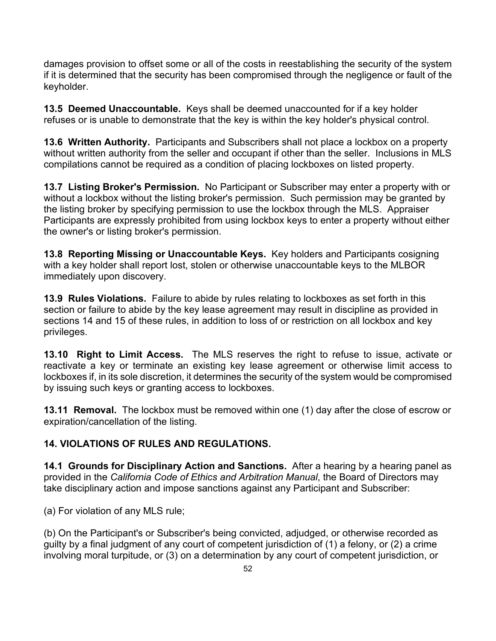damages provision to offset some or all of the costs in reestablishing the security of the system if it is determined that the security has been compromised through the negligence or fault of the keyholder.

**13.5 Deemed Unaccountable.** Keys shall be deemed unaccounted for if a key holder refuses or is unable to demonstrate that the key is within the key holder's physical control.

**13.6 Written Authority.** Participants and Subscribers shall not place a lockbox on a property without written authority from the seller and occupant if other than the seller. Inclusions in MLS compilations cannot be required as a condition of placing lockboxes on listed property.

**13.7 Listing Broker's Permission.** No Participant or Subscriber may enter a property with or without a lockbox without the listing broker's permission. Such permission may be granted by the listing broker by specifying permission to use the lockbox through the MLS. Appraiser Participants are expressly prohibited from using lockbox keys to enter a property without either the owner's or listing broker's permission.

**13.8 Reporting Missing or Unaccountable Keys.** Key holders and Participants cosigning with a key holder shall report lost, stolen or otherwise unaccountable keys to the MLBOR immediately upon discovery.

**13.9 Rules Violations.** Failure to abide by rules relating to lockboxes as set forth in this section or failure to abide by the key lease agreement may result in discipline as provided in sections 14 and 15 of these rules, in addition to loss of or restriction on all lockbox and key privileges.

**13.10 Right to Limit Access.** The MLS reserves the right to refuse to issue, activate or reactivate a key or terminate an existing key lease agreement or otherwise limit access to lockboxes if, in its sole discretion, it determines the security of the system would be compromised by issuing such keys or granting access to lockboxes.

**13.11 Removal.** The lockbox must be removed within one (1) day after the close of escrow or expiration/cancellation of the listing.

## **14. VIOLATIONS OF RULES AND REGULATIONS.**

**14.1 Grounds for Disciplinary Action and Sanctions.** After a hearing by a hearing panel as provided in the *California Code of Ethics and Arbitration Manual*, the Board of Directors may take disciplinary action and impose sanctions against any Participant and Subscriber:

(a) For violation of any MLS rule;

(b) On the Participant's or Subscriber's being convicted, adjudged, or otherwise recorded as guilty by a final judgment of any court of competent jurisdiction of (1) a felony, or (2) a crime involving moral turpitude, or (3) on a determination by any court of competent jurisdiction, or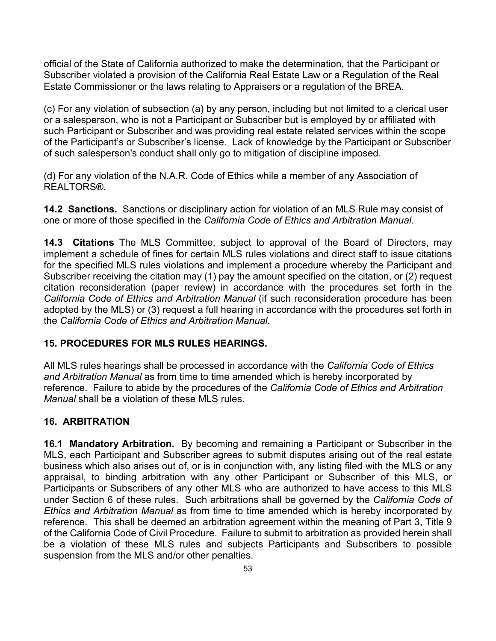official of the State of California authorized to make the determination, that the Participant or Subscriber violated a provision of the California Real Estate Law or a Regulation of the Real Estate Commissioner or the laws relating to Appraisers or a regulation of the BREA.

(c) For any violation of subsection (a) by any person, including but not limited to a clerical user or a salesperson, who is not a Participant or Subscriber but is employed by or affiliated with such Participant or Subscriber and was providing real estate related services within the scope of the Participant's or Subscriber's license. Lack of knowledge by the Participant or Subscriber of such salesperson's conduct shall only go to mitigation of discipline imposed.

(d) For any violation of the N.A.R. Code of Ethics while a member of any Association of REALTORS®.

**14.2 Sanctions.** Sanctions or disciplinary action for violation of an MLS Rule may consist of one or more of those specified in the *California Code of Ethics and Arbitration Manual*.

**14.3 Citations** The MLS Committee, subject to approval of the Board of Directors, may implement a schedule of fines for certain MLS rules violations and direct staff to issue citations for the specified MLS rules violations and implement a procedure whereby the Participant and Subscriber receiving the citation may (1) pay the amount specified on the citation, or (2) request citation reconsideration (paper review) in accordance with the procedures set forth in the *California Code of Ethics and Arbitration Manual* (if such reconsideration procedure has been adopted by the MLS) or (3) request a full hearing in accordance with the procedures set forth in the *California Code of Ethics and Arbitration Manual*.

#### **15. PROCEDURES FOR MLS RULES HEARINGS.**

All MLS rules hearings shall be processed in accordance with the *California Code of Ethics and Arbitration Manual* as from time to time amended which is hereby incorporated by reference. Failure to abide by the procedures of the *California Code of Ethics and Arbitration Manual* shall be a violation of these MLS rules.

#### **16. ARBITRATION**

**16.1 Mandatory Arbitration.** By becoming and remaining a Participant or Subscriber in the MLS, each Participant and Subscriber agrees to submit disputes arising out of the real estate business which also arises out of, or is in conjunction with, any listing filed with the MLS or any appraisal, to binding arbitration with any other Participant or Subscriber of this MLS, or Participants or Subscribers of any other MLS who are authorized to have access to this MLS under Section 6 of these rules. Such arbitrations shall be governed by the *California Code of Ethics and Arbitration Manual* as from time to time amended which is hereby incorporated by reference. This shall be deemed an arbitration agreement within the meaning of Part 3, Title 9 of the California Code of Civil Procedure. Failure to submit to arbitration as provided herein shall be a violation of these MLS rules and subjects Participants and Subscribers to possible suspension from the MLS and/or other penalties.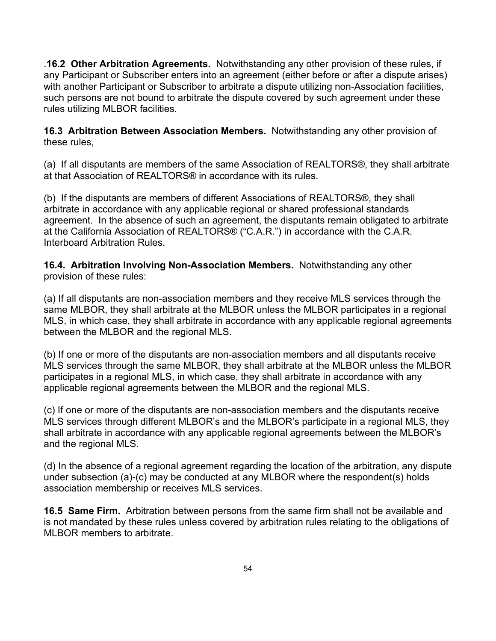.**16.2 Other Arbitration Agreements.** Notwithstanding any other provision of these rules, if any Participant or Subscriber enters into an agreement (either before or after a dispute arises) with another Participant or Subscriber to arbitrate a dispute utilizing non-Association facilities, such persons are not bound to arbitrate the dispute covered by such agreement under these rules utilizing MLBOR facilities.

**16.3 Arbitration Between Association Members.** Notwithstanding any other provision of these rules,

(a) If all disputants are members of the same Association of REALTORS®, they shall arbitrate at that Association of REALTORS® in accordance with its rules.

(b) If the disputants are members of different Associations of REALTORS®, they shall arbitrate in accordance with any applicable regional or shared professional standards agreement. In the absence of such an agreement, the disputants remain obligated to arbitrate at the California Association of REALTORS® ("C.A.R.") in accordance with the C.A.R. Interboard Arbitration Rules.

**16.4. Arbitration Involving Non-Association Members.** Notwithstanding any other provision of these rules:

(a) If all disputants are non-association members and they receive MLS services through the same MLBOR, they shall arbitrate at the MLBOR unless the MLBOR participates in a regional MLS, in which case, they shall arbitrate in accordance with any applicable regional agreements between the MLBOR and the regional MLS.

(b) If one or more of the disputants are non-association members and all disputants receive MLS services through the same MLBOR, they shall arbitrate at the MLBOR unless the MLBOR participates in a regional MLS, in which case, they shall arbitrate in accordance with any applicable regional agreements between the MLBOR and the regional MLS.

(c) If one or more of the disputants are non-association members and the disputants receive MLS services through different MLBOR's and the MLBOR's participate in a regional MLS, they shall arbitrate in accordance with any applicable regional agreements between the MLBOR's and the regional MLS.

(d) In the absence of a regional agreement regarding the location of the arbitration, any dispute under subsection (a)-(c) may be conducted at any MLBOR where the respondent(s) holds association membership or receives MLS services.

**16.5 Same Firm.** Arbitration between persons from the same firm shall not be available and is not mandated by these rules unless covered by arbitration rules relating to the obligations of MLBOR members to arbitrate.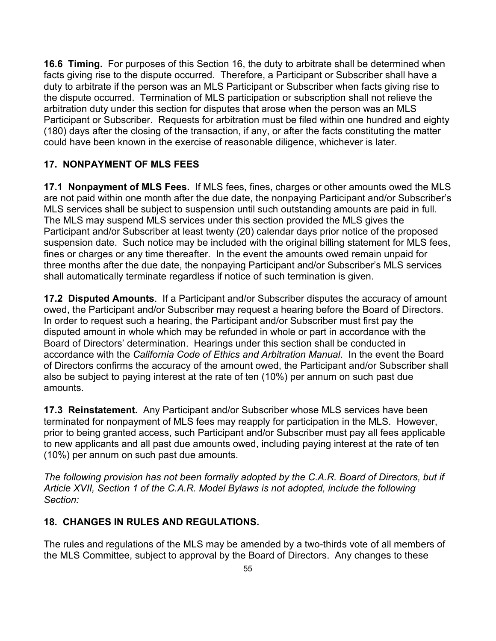**16.6 Timing.** For purposes of this Section 16, the duty to arbitrate shall be determined when facts giving rise to the dispute occurred. Therefore, a Participant or Subscriber shall have a duty to arbitrate if the person was an MLS Participant or Subscriber when facts giving rise to the dispute occurred. Termination of MLS participation or subscription shall not relieve the arbitration duty under this section for disputes that arose when the person was an MLS Participant or Subscriber. Requests for arbitration must be filed within one hundred and eighty (180) days after the closing of the transaction, if any, or after the facts constituting the matter could have been known in the exercise of reasonable diligence, whichever is later.

### **17. NONPAYMENT OF MLS FEES**

**17.1 Nonpayment of MLS Fees.** If MLS fees, fines, charges or other amounts owed the MLS are not paid within one month after the due date, the nonpaying Participant and/or Subscriber's MLS services shall be subject to suspension until such outstanding amounts are paid in full. The MLS may suspend MLS services under this section provided the MLS gives the Participant and/or Subscriber at least twenty (20) calendar days prior notice of the proposed suspension date. Such notice may be included with the original billing statement for MLS fees, fines or charges or any time thereafter. In the event the amounts owed remain unpaid for three months after the due date, the nonpaying Participant and/or Subscriber's MLS services shall automatically terminate regardless if notice of such termination is given.

**17.2 Disputed Amounts**. If a Participant and/or Subscriber disputes the accuracy of amount owed, the Participant and/or Subscriber may request a hearing before the Board of Directors. In order to request such a hearing, the Participant and/or Subscriber must first pay the disputed amount in whole which may be refunded in whole or part in accordance with the Board of Directors' determination. Hearings under this section shall be conducted in accordance with the *California Code of Ethics and Arbitration Manual*. In the event the Board of Directors confirms the accuracy of the amount owed, the Participant and/or Subscriber shall also be subject to paying interest at the rate of ten (10%) per annum on such past due amounts.

**17.3 Reinstatement.** Any Participant and/or Subscriber whose MLS services have been terminated for nonpayment of MLS fees may reapply for participation in the MLS. However, prior to being granted access, such Participant and/or Subscriber must pay all fees applicable to new applicants and all past due amounts owed, including paying interest at the rate of ten (10%) per annum on such past due amounts.

*The following provision has not been formally adopted by the C.A.R. Board of Directors, but if Article XVII, Section 1 of the C.A.R. Model Bylaws is not adopted, include the following Section:*

#### **18. CHANGES IN RULES AND REGULATIONS.**

The rules and regulations of the MLS may be amended by a two-thirds vote of all members of the MLS Committee, subject to approval by the Board of Directors. Any changes to these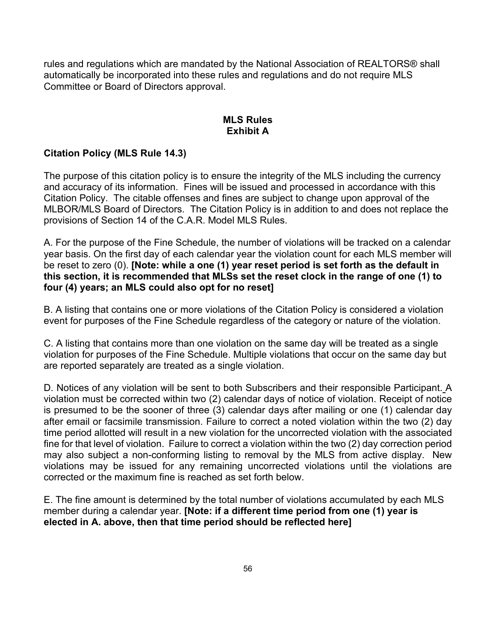rules and regulations which are mandated by the National Association of REALTORS® shall automatically be incorporated into these rules and regulations and do not require MLS Committee or Board of Directors approval.

#### **MLS Rules Exhibit A**

#### **Citation Policy (MLS Rule 14.3)**

The purpose of this citation policy is to ensure the integrity of the MLS including the currency and accuracy of its information. Fines will be issued and processed in accordance with this Citation Policy. The citable offenses and fines are subject to change upon approval of the MLBOR/MLS Board of Directors. The Citation Policy is in addition to and does not replace the provisions of Section 14 of the C.A.R. Model MLS Rules.

A. For the purpose of the Fine Schedule, the number of violations will be tracked on a calendar year basis. On the first day of each calendar year the violation count for each MLS member will be reset to zero (0). **[Note: while a one (1) year reset period is set forth as the default in this section, it is recommended that MLSs set the reset clock in the range of one (1) to four (4) years; an MLS could also opt for no reset]**

B. A listing that contains one or more violations of the Citation Policy is considered a violation event for purposes of the Fine Schedule regardless of the category or nature of the violation.

C. A listing that contains more than one violation on the same day will be treated as a single violation for purposes of the Fine Schedule. Multiple violations that occur on the same day but are reported separately are treated as a single violation.

D. Notices of any violation will be sent to both Subscribers and their responsible Participant. A violation must be corrected within two (2) calendar days of notice of violation. Receipt of notice is presumed to be the sooner of three (3) calendar days after mailing or one (1) calendar day after email or facsimile transmission. Failure to correct a noted violation within the two (2) day time period allotted will result in a new violation for the uncorrected violation with the associated fine for that level of violation. Failure to correct a violation within the two (2) day correction period may also subject a non-conforming listing to removal by the MLS from active display. New violations may be issued for any remaining uncorrected violations until the violations are corrected or the maximum fine is reached as set forth below.

E. The fine amount is determined by the total number of violations accumulated by each MLS member during a calendar year. **[Note: if a different time period from one (1) year is elected in A. above, then that time period should be reflected here]**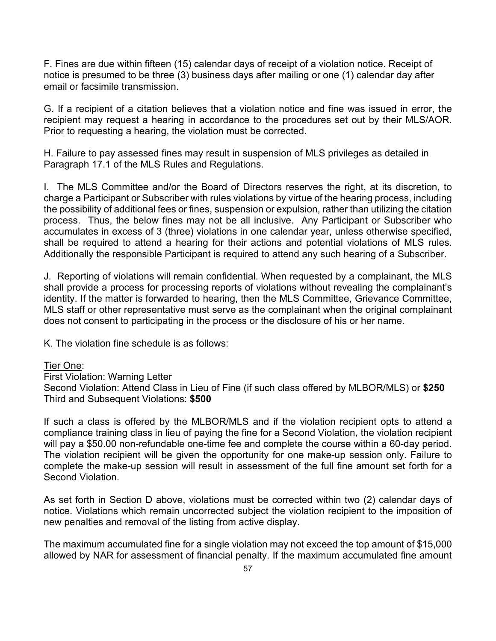F. Fines are due within fifteen (15) calendar days of receipt of a violation notice. Receipt of notice is presumed to be three (3) business days after mailing or one (1) calendar day after email or facsimile transmission.

G. If a recipient of a citation believes that a violation notice and fine was issued in error, the recipient may request a hearing in accordance to the procedures set out by their MLS/AOR. Prior to requesting a hearing, the violation must be corrected.

H. Failure to pay assessed fines may result in suspension of MLS privileges as detailed in Paragraph 17.1 of the MLS Rules and Regulations.

I. The MLS Committee and/or the Board of Directors reserves the right, at its discretion, to charge a Participant or Subscriber with rules violations by virtue of the hearing process, including the possibility of additional fees or fines, suspension or expulsion, rather than utilizing the citation process. Thus, the below fines may not be all inclusive. Any Participant or Subscriber who accumulates in excess of 3 (three) violations in one calendar year, unless otherwise specified, shall be required to attend a hearing for their actions and potential violations of MLS rules. Additionally the responsible Participant is required to attend any such hearing of a Subscriber.

J. Reporting of violations will remain confidential. When requested by a complainant, the MLS shall provide a process for processing reports of violations without revealing the complainant's identity. If the matter is forwarded to hearing, then the MLS Committee, Grievance Committee, MLS staff or other representative must serve as the complainant when the original complainant does not consent to participating in the process or the disclosure of his or her name.

K. The violation fine schedule is as follows:

#### Tier One:

First Violation: Warning Letter Second Violation: Attend Class in Lieu of Fine (if such class offered by MLBOR/MLS) or **\$250** Third and Subsequent Violations: **\$500** 

If such a class is offered by the MLBOR/MLS and if the violation recipient opts to attend a compliance training class in lieu of paying the fine for a Second Violation, the violation recipient will pay a \$50.00 non-refundable one-time fee and complete the course within a 60-day period. The violation recipient will be given the opportunity for one make-up session only. Failure to complete the make-up session will result in assessment of the full fine amount set forth for a Second Violation.

As set forth in Section D above, violations must be corrected within two (2) calendar days of notice. Violations which remain uncorrected subject the violation recipient to the imposition of new penalties and removal of the listing from active display.

The maximum accumulated fine for a single violation may not exceed the top amount of \$15,000 allowed by NAR for assessment of financial penalty. If the maximum accumulated fine amount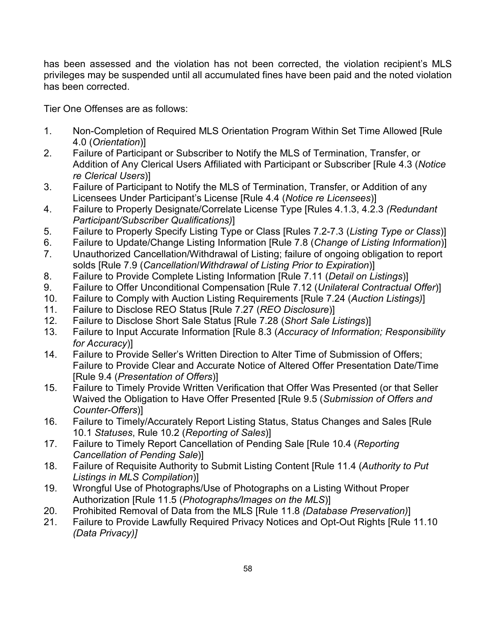has been assessed and the violation has not been corrected, the violation recipient's MLS privileges may be suspended until all accumulated fines have been paid and the noted violation has been corrected.

Tier One Offenses are as follows:

- 1. Non-Completion of Required MLS Orientation Program Within Set Time Allowed [Rule 4.0 (*Orientation*)]
- 2. Failure of Participant or Subscriber to Notify the MLS of Termination, Transfer, or Addition of Any Clerical Users Affiliated with Participant or Subscriber [Rule 4.3 (*Notice re Clerical Users*)]
- 3. Failure of Participant to Notify the MLS of Termination, Transfer, or Addition of any Licensees Under Participant's License [Rule 4.4 (*Notice re Licensees*)]
- 4. Failure to Properly Designate/Correlate License Type [Rules 4.1.3, 4.2.3 *(Redundant Participant/Subscriber Qualifications)*]
- 5. Failure to Properly Specify Listing Type or Class [Rules 7.2-7.3 (*Listing Type or Class*)]
- 6. Failure to Update/Change Listing Information [Rule 7.8 (*Change of Listing Information*)]
- 7. Unauthorized Cancellation/Withdrawal of Listing; failure of ongoing obligation to report solds [Rule 7.9 (*Cancellation*/*Withdrawal of Listing Prior to Expiration*)]
- 8. Failure to Provide Complete Listing Information [Rule 7.11 (*Detail on Listings*)]
- 9. Failure to Offer Unconditional Compensation [Rule 7.12 (*Unilateral Contractual Offer*)]
- 10. Failure to Comply with Auction Listing Requirements [Rule 7.24 (*Auction Listings)*]
- 11. Failure to Disclose REO Status [Rule 7.27 (*REO Disclosure*)]
- 12. Failure to Disclose Short Sale Status [Rule 7.28 (*Short Sale Listings*)]
- 13. Failure to Input Accurate Information [Rule 8.3 (*Accuracy of Information; Responsibility for Accuracy*)]
- 14. Failure to Provide Seller's Written Direction to Alter Time of Submission of Offers; Failure to Provide Clear and Accurate Notice of Altered Offer Presentation Date/Time [Rule 9.4 (*Presentation of Offers*)]
- 15. Failure to Timely Provide Written Verification that Offer Was Presented (or that Seller Waived the Obligation to Have Offer Presented [Rule 9.5 (*Submission of Offers and Counter-Offers*)]
- 16. Failure to Timely/Accurately Report Listing Status, Status Changes and Sales [Rule 10.1 *Statuses*, Rule 10.2 (*Reporting of Sales*)]
- 17. Failure to Timely Report Cancellation of Pending Sale [Rule 10.4 (*Reporting Cancellation of Pending Sale*)]
- 18. Failure of Requisite Authority to Submit Listing Content [Rule 11.4 (*Authority to Put Listings in MLS Compilation*)]
- 19. Wrongful Use of Photographs/Use of Photographs on a Listing Without Proper Authorization [Rule 11.5 (*Photographs/Images on the MLS*)]
- 20. Prohibited Removal of Data from the MLS [Rule 11.8 *(Database Preservation)*]
- 21. Failure to Provide Lawfully Required Privacy Notices and Opt-Out Rights [Rule 11.10 *(Data Privacy)]*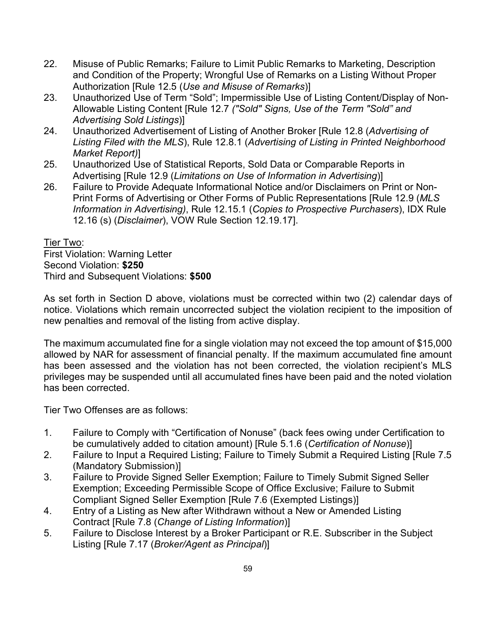- 22. Misuse of Public Remarks; Failure to Limit Public Remarks to Marketing, Description and Condition of the Property; Wrongful Use of Remarks on a Listing Without Proper Authorization [Rule 12.5 (*Use and Misuse of Remarks*)]
- 23. Unauthorized Use of Term "Sold"; Impermissible Use of Listing Content/Display of Non-Allowable Listing Content [Rule 12.7 *("Sold" Signs, Use of the Term "Sold" and Advertising Sold Listings*)]
- 24. Unauthorized Advertisement of Listing of Another Broker [Rule 12.8 (*Advertising of Listing Filed with the MLS*), Rule 12.8.1 (*Advertising of Listing in Printed Neighborhood Market Report)*]
- 25. Unauthorized Use of Statistical Reports, Sold Data or Comparable Reports in Advertising [Rule 12.9 (*Limitations on Use of Information in Advertising*)]
- 26. Failure to Provide Adequate Informational Notice and/or Disclaimers on Print or Non-Print Forms of Advertising or Other Forms of Public Representations [Rule 12.9 (*MLS Information in Advertising)*, Rule 12.15.1 (*Copies to Prospective Purchasers*), IDX Rule 12.16 (s) (*Disclaimer*), VOW Rule Section 12.19.17].

Tier Two:

First Violation: Warning Letter Second Violation: **\$250**  Third and Subsequent Violations: **\$500** 

As set forth in Section D above, violations must be corrected within two (2) calendar days of notice. Violations which remain uncorrected subject the violation recipient to the imposition of new penalties and removal of the listing from active display.

The maximum accumulated fine for a single violation may not exceed the top amount of \$15,000 allowed by NAR for assessment of financial penalty. If the maximum accumulated fine amount has been assessed and the violation has not been corrected, the violation recipient's MLS privileges may be suspended until all accumulated fines have been paid and the noted violation has been corrected.

Tier Two Offenses are as follows:

- 1. Failure to Comply with "Certification of Nonuse" (back fees owing under Certification to be cumulatively added to citation amount) [Rule 5.1.6 (*Certification of Nonuse*)]
- 2. Failure to Input a Required Listing; Failure to Timely Submit a Required Listing [Rule 7.5 (Mandatory Submission)]
- 3. Failure to Provide Signed Seller Exemption; Failure to Timely Submit Signed Seller Exemption; Exceeding Permissible Scope of Office Exclusive; Failure to Submit Compliant Signed Seller Exemption [Rule 7.6 (Exempted Listings)]
- 4. Entry of a Listing as New after Withdrawn without a New or Amended Listing Contract [Rule 7.8 (*Change of Listing Information*)]
- 5. Failure to Disclose Interest by a Broker Participant or R.E. Subscriber in the Subject Listing [Rule 7.17 (*Broker/Agent as Principal*)]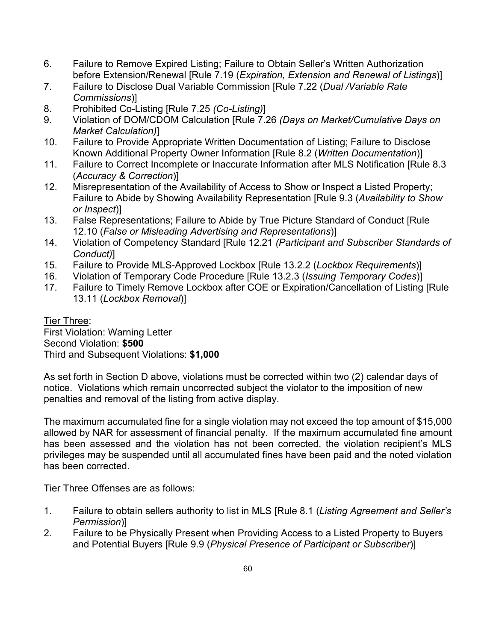- 6. Failure to Remove Expired Listing; Failure to Obtain Seller's Written Authorization before Extension/Renewal [Rule 7.19 (*Expiration, Extension and Renewal of Listings*)]
- 7. Failure to Disclose Dual Variable Commission [Rule 7.22 (*Dual /Variable Rate Commissions*)]
- 8. Prohibited Co-Listing [Rule 7.25 *(Co-Listing)*]
- 9. Violation of DOM/CDOM Calculation [Rule 7.26 *(Days on Market/Cumulative Days on Market Calculation)*]
- 10. Failure to Provide Appropriate Written Documentation of Listing; Failure to Disclose Known Additional Property Owner Information [Rule 8.2 (*Written Documentation*)]
- 11. Failure to Correct Incomplete or Inaccurate Information after MLS Notification [Rule 8.3 (*Accuracy & Correction*)]
- 12. Misrepresentation of the Availability of Access to Show or Inspect a Listed Property; Failure to Abide by Showing Availability Representation [Rule 9.3 (*Availability to Show or Inspect*)]
- 13. False Representations; Failure to Abide by True Picture Standard of Conduct [Rule 12.10 (*False or Misleading Advertising and Representations*)]
- 14. Violation of Competency Standard [Rule 12.21 *(Participant and Subscriber Standards of Conduct)*]
- 15. Failure to Provide MLS-Approved Lockbox [Rule 13.2.2 (*Lockbox Requirements*)]
- 16. Violation of Temporary Code Procedure [Rule 13.2.3 (*Issuing Temporary Codes*)]
- 17. Failure to Timely Remove Lockbox after COE or Expiration/Cancellation of Listing [Rule 13.11 (*Lockbox Removal*)]

Tier Three: First Violation: Warning Letter Second Violation: **\$500** Third and Subsequent Violations: **\$1,000**

As set forth in Section D above, violations must be corrected within two (2) calendar days of notice. Violations which remain uncorrected subject the violator to the imposition of new penalties and removal of the listing from active display.

The maximum accumulated fine for a single violation may not exceed the top amount of \$15,000 allowed by NAR for assessment of financial penalty. If the maximum accumulated fine amount has been assessed and the violation has not been corrected, the violation recipient's MLS privileges may be suspended until all accumulated fines have been paid and the noted violation has been corrected.

Tier Three Offenses are as follows:

- 1. Failure to obtain sellers authority to list in MLS [Rule 8.1 (*Listing Agreement and Seller's Permission*)]
- 2. Failure to be Physically Present when Providing Access to a Listed Property to Buyers and Potential Buyers [Rule 9.9 (*Physical Presence of Participant or Subscriber*)]